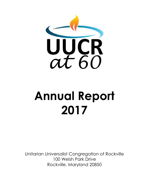

# **Annual Report 2017**

Unitarian Universalist Congregation of Rockville 100 Welsh Park Drive Rockville, Maryland 20850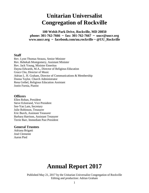# **Unitarian Universalist Congregation of Rockville**

**100 Welsh Park Drive, Rockville, MD 20850 phone: 301-762-7666 ~ fax: 301-762-7667 ~ uucr@uucr.org www.uucr.org ~ facebook.com/uu.rockville ~ @UU\_Rockville**

#### **Staff**

Rev. Lynn Thomas Strauss, Senior Minister Rev. Rebekah Montgomery, Assistant Minister Rev. Jack Young, Minister Emeritus Dayna Edwards, M.A., Director of Religious Education Grace Cho, Director of Music Adrian L. H. Graham, Director of Communications & Membership Donna Taylor, Church Administrator Rena Geibel, Religious Education Assistant Justin Furnia, Pianist

#### **Officers**

Ellen Rohan, President Steve Eckstrand, Vice President See-Yan Lam, Secretary Julie Robinson, Treasurer Eric Burch, Assistant Treasurer Barbara Harrison, Assistant Treasurer Terrie Barr, Immediate Past President

#### **General Trustees**

Adriana Brigatti José Clemente Aaron Pied

# **Annual Report 2017**

Published May 21, 2017 by the Unitarian Universalist Congregation of Rockville Editing and production: Adrian Graham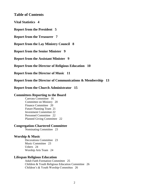**Table of Contents**

**Vital Statistics 4** 

**Report from the President 5** 

**Report from the Treasurer 7** 

**Report from the Lay Ministry Council 8** 

**Report from the Senior Minister 9** 

**Report from the Assistant Minister 9** 

**Report from the Director of Religious Education 10** 

**Report from the Director of Music 11** 

**Report from the Director of Communications & Membership 13** 

**Report from the Church Administrator 15** 

#### **Committees Reporting to the Board**

Canvass Committee 16 Committee on Ministry 20 Finance Committee 20 Future Planning Team 21 Investment Committee 22 Personnel Committee 22 Planned Giving Committee 22

#### **Congregation-Chartered Committee**

Nominating Committee 23

#### **Worship & Music**

Decorations Committee 23 Music Committee 23 Ushers 24 Worship Arts Team 24

#### **Lifespan Religious Education**

Adult Faith Formation Committee 25 Children & Youth Religious Education Committee 26 Children's & Youth Worship Committee 26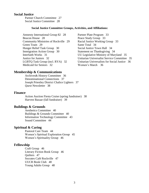#### **Social Justice**

Partner Church Committee 27 Social Justice Committee 28

#### **Social Justice Committee Groups, Activities, and Affiliations:**

Amnesty International Group 82 28 Beacon House 28 Community Ministries of Rockville 29 Green Team 29 Hunger Relief Task Group 30 Immigration Action Group 30 Interfaith Works 31 Justice for Juniors 32 LGBTQ Task Group (incl. RYA) 32 Medicaid for Seniors 32

Partner Plate Program 33 Peace Study Group 33 Racial Justice Working Group 33 Sante Total 34 Social Justice Town Hall 34 Statement on Thanksgiving 34 UU Legislative Ministry of Maryland 35 Unitarian Universalist Service Committee 35 Unitarian Universalists for Social Justice 36 Women's March 36

#### **Membership & Communications**

Archives& History Committee 36 Denominational Connections 37 Joseph Priestley District Chalice Lighters 37 *Quest* Newsletter 38

#### **Finance**

Action Auction Fiesta Cruise (spring fundraiser) 38 Harvest Bazaar (fall fundraiser) 39

#### **Buildings & Grounds**

Aesthetics Committee 40 Buildings & Grounds Committee 40 Information Technology Committee 43 Sound Committee 44

#### **Spiritual & Caring**

Pastoral Care Team 44 Women's Spiritual Exploration Group 45 Women's Spirituality Group 46

#### **Fellowship**

Craft Group 46 Literary Fiction Book Group 46 Quilters 47 Socrates Café Rockville 47 UUCR Book Club 48 Young Adults Group 48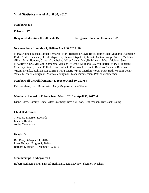#### **Vital Statistics – as of April 30, 2017**

**Members: 413**

**Friends: 127**

#### **Religious Education Enrollment: 156 Religious Education Families: 122**

#### **New members from May 1, 2016 to April 30, 2017: 40**

Marga Adiego-Blasco, Lionel Bernardo, Mark Bernardo, Gayle Boyd, Jaime Chao Mignano, Katherine Earle, André Enceneat, David Fitzpatrick, Sharon Fitzpatrick, Juliette Gaitan, Joseph Gillen, Madeline Gillen, Brian Haugen, Claudia Langbehn, Jeffrey Lewis, MaryBeth Lewis, Maura Malone, Sean McCarthy, Chris McNabb, Samantha McNabb, Michael Mignano, Jay Mukherjee, Mary Mukherjee, Courtney Pinard, Kenan Pollack, Lane Pollack, Elsa Powel, Kenneth Robbins, Teresina Robbins, Virginia Runko, Kalman Rupp, Eric Strong, Marie Vivas, Marilyn Wood, Mary Beth Woodin, Jenny Yates, Michael Youngman, Monica Youngman, Elana Zimmerman, Patrick Zimmerman

#### **Members off the roll from May 1, 2016 to April 30, 2017: 4**

Pat Bradshaw, Beth Durmowicz, Gary Magnuson, Jana Shobe

#### **Members changed to Friends from May 1, 2016 to April 30, 2017: 6**

Diane Bates, Cammy Crane, Alex Szatmary, David Wilson, Leah Wilson, Rev. Jack Young

#### **Child Dedications: 3**

Theodore Emerson Edwards Luciana Runko Audra Youngman

#### **Deaths: 3**

Bill Barry (August 11, 2016) Larry Brandt (August 1, 2016) Barbara Eldridge (December 19, 2016)

#### **Memberships in Abeyance: 4**

Robert Heilman, Karen Knispel Heilman, David Mayhew, Shannon Mayhew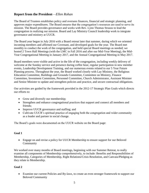#### **Report from the President**—*Ellen Rohan*

The Board of Trustees establishes policy and oversees finances, financial and strategic planning, and approves major expenditures. The Board ensures that the congregation's resources are used to serve its mission. The Board provides governance and works with Rev. Lynn Thomas Strauss to lead the congregation in realizing our mission. Board and Lay Ministry Council leadership work to integrate governance and ministry at UUCR.

The Board year began in July 2016 with a Board retreat later that summer, during which we oriented incoming members and affirmed our Covenant, and developed goals for the year. The Board met monthly to conduct the work of the congregation, and held special Board meetings as needed; we hosted 2 Town Hall Meetings (with the LMC in Fall 2016 and after our Mid-Year Meeting), the Mid-Year Congregational Meeting in January 2017, and the Annual Congregational Meeting in May 2017.

Board members were visible and active in the life of the congregation, including weekly delivery of welcome at the Sunday service and presence during coffee hour, regular participation in new member events, Leadership Development Training, and our numerous events related to our 5 Year Future Planning process. Throughout the year, the Board worked closely with Lay Ministry, the Religious Education Committee, Buildings and Grounds Committee, Committee on Ministry, Finance Committee, Investment Committee, Personnel Committee, Church Administrator, Assistant Minister and Senior Minister to update and strengthen policies and practice, and secure contractual obligations.

Our activities are guided by the framework provided in the 2012-17 Strategic Plan Goals which directs our efforts to:

- Grow and diversify our membership;
- Strengthen and enhance congregational practices that support and connect all members and friends;
- Improve UUCR governance and staffing; and
- Cultivate UUCR's spiritual practice of engaging both the congregation and wider community as a leader and partner in social change.

The Board's goals were documented on the UUCR website on the Board page:

#### **Goal 1**

 Engage on and revise a policy for UUCR Membership to ensure support for our Beloved Community

We worked over many months of Board meetings, beginning with our Summer Retreat, to really examine all components of Membership comprehensively, to include: Benefits and Responsibilities of Membership, Categories of Membership, Right Relations/Crisis Resolution, and Canvass/Pledging as they relate to Membership.

#### **Goal 2**

 Examine our current Policies and By-laws, to create an even stronger framework to support our Beloved Community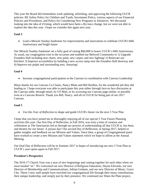This year the Board did tremendous work updating, refreshing, and approving the following UUCR policies: RE Safety Policy for Children and Youth, Investment Policy, various aspects of our Financial Policies and Procedures, and Policy for Considering New Programs or Initiatives. We discussed looking into the idea of eVoting, which would have been a By-laws change, but we were not able to explore the idea this year. I hope we consider this again next year.

#### **Goal 3**

 Lead a Miracle Sunday fundraiser for improvements and innovations to celebrate UUCR's 60th Anniversary and bright future

Our Miracle Sunday fundraiser set a lofty goal of raising \$60,000 to honor UUCR's 60th Anniversary. As usual, our congregation rose to the occasion and enabled our Beloved Community to 1) Upgrade Founders Hall including new chairs, new paint, new carpet, and new lighting! 2) Renovate our Kitchen! 3) Improve accessibility by building a new access ramp near the Founders Hall doorway and 4) Improve our pulpit and surrounding area. Amazing!

#### **Goal 4**

• Increase congregational participation in the Canvass in coordination with Canvass Leadership

Many thanks for our Canvass Co-Chairs, Nancy Blum and Bill Hurlbut, for the wonderful job they did leading us. I hope everyone was able to participate this year either through face-to-face discussion at the Canvass table, through email, by US Mail, or by accessing our Canvass page online, or possibly even at a Canvass Brunch. Thank you Bill, Nancy, and all of UUCR for being part of our 2017 Canvass.

#### **Goal 5**

Use this *Year of Reflection* to shape and guide UUCR's future via the next 5 Year Plan

I hope that you have joined me in thoroughly enjoying all of our special 5 Year Future Planning activities this year. Our first Day of Reflection, in Fall 2016, was truly a time of creation and celebration as The Sanctuaries led us through our process of understanding all that UUCR is, has been, and dreams for our future. A joyous day! Our second Day of Reflection, in Spring 2017, helped us gather insights and feedback on our Mission and Values. Since then, a group of Congregational poets have worked to create a new Mission and Values statement which we hope to affirm at the Annual Meeting.

Our final Day of Reflection will be in Summer 2017 in hopes of introducing our new 5 Year Plan as UUCR's year opens again in Fall 2017.

#### **President's Perspective**

The 2016-17 Church Year was a year of new beginnings and coming together for each other when we most needed "us". We welcomed our new Director of Religious Education, Dayna Edwards, our new Director of Membership and Communications, Adrian Graham, and our new Director of Music, Grace Cho. These 3 new staff people have enriched our congregational life through their many contributions, their unique leadership, and simply just by their presence. We continued our Share the Plate project,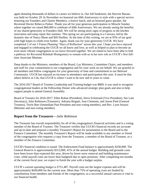again donating thousands of dollars in causes we believe in. Our fall fundraiser, the Harvest Bazaar, was held on October 29. In November we honored our 60th Anniversary in style with a special service honoring our Founders and Charter Members, a festive lunch, and an honored guest speaker, the Reverend Doctor Rebecca Parker. Thank you all for your generous participation in Miracle Sunday where together we raised \$60,000 to celebrate of 60th Anniversary. We are already seeing the benefits of our shared generosity in Founders Hall. We will be seeing more signs of progress in the kitchen renovation and ramp repair this summer. This spring we are participating in a Canvass, led by the dynamic duo of Nancy Blum and Bill Hurlbut. At the time of this writing, we are at 95% of our goal with high hopes to climb even further. Again, thank you for your generosity UUCR. We have completed 2 of our 3 Future Planning "Days of Reflection" across this year. I hope you have enjoyed and engaged in celebrating the UUCR we all know and love, as well as helped us plan to become an even more vibrant congregation as we move forward together. We are elated to have been able to find a pathway for Reverend Rebekah Montgomery to remain with us in her new role as UUCR's first fulltime Associate Minister.

Deep thanks to the Ministers, members of the Board, Lay Ministers, Committee Chairs, and members and staff for your commitment to our congregation and for your work on our behalf. We are grateful to all members and fellow congregants for your generosity of time and commitment to our Beloved Community. UUCR has enjoyed an increase in attendance and participation this year. It must be that others believe as I do, that UUCR is where I want to be now and in years to come.

The 2016-2017 Board of Trustees Leadership and Training budget was \$800; it was used to recognize congregational leaders at the Fellowship Dinner who advanced strategic plan goals and also to help support people to attend General Assembly.

Board of Trustees for 2016-2017: Ellen Rohan (President), Steve Eckstrand (Vice President), See Lam (Secretary), Julie Robinson (Treasurer), Adriana Brigatti, Jose Clemente, and Aaron Pied (General Trustees), Terrie Barr (Immediate Past President and non-voting member), and Rev. Lynn Strauss (Minister and non-voting member).

#### **Report from the Treasurer—***Julie Robinson*

The Treasurer has overall responsibility for all of the congregation's financial activities and is a voting member of the Board of Trustees. The Treasurer verifies that UUCR's financial records are accurate and up-to-date and prepares a monthly Treasurer's Report for presentation to the Board and to the Finance Committee. The monthly Treasurer's Report will be made available to any member or friend of the congregation who requests a copy from the Treasurer, a member of the Board of Trustees, or a member of the Finance Committee.

UUCR's financial condition is sound. The Endowment Fund balance is approximately \$330,000. The General Reserve is approximately \$312,000, 41% of the annual budget. Building and grounds costs have been lower than expected this year, driven by lower snow removal and building maintenance costs, while payroll costs are lower than budgeted due to open positions. After completing ten months of the current fiscal year, we expect to finish the year with a budget surplus.

UUCR's current operating budget is \$751,487. Payroll costs are the largest expense and will be approximately \$430,000 for the current year. More than 75% of operating costs are funded by contributions from members and friends of the congregation, so a successful annual canvass is vital to our financial health.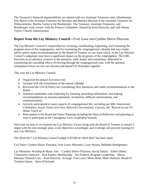The Treasurer's financial responsibilities are shared with two Assistant Treasurers and a Bookkeeper. Eric Burch is the Assistant Treasurer for Receipts and Barbara Harrison is the Assistant Treasurer for Disbursements. Martha Taylor is the Bookkeeper. The Treasurer, Assistant Treasurers, and Bookkeeper work closely with the Finance Committee, chaired by Kent Hancock, and with Donna Taylor, Church Administrator.

#### **Report from the Lay Ministry Council—***Fran Lowe and Cynthia Shires-Thurston*

The Lay Ministry Council is responsible for visioning, coordinating, supporting, and evaluating the program areas of the congregation, and for overseeing the congregational calendar and may render advice and/or make recommendations to the Board of Trustees on any issue which, in the Lay Ministry Council's judgment, may have a significant impact on the programs of the congregation. The LMC functions as an advisory resource to the ministers, staff, board, and committees, dedicated to considering the cascading effects of moving through the congregational year, with the spiritual orientation of how we live our mission and shared UU Principles together.

This year the Lay Ministry Council:

- Organized the annual Activities Fair.
- Assisted with the formulation of the annual calendar.
- Reviewed the UUCR Policy for Considering New Initiatives and made recommendations to the Board.
- Assisted committees with leadership by listening, providing information, and making recommendations on mission statements, facilitation, difficult conversations, and communications.
- Actively participated in many aspects of congregational life, including our 60th Anniversary Celebration, Social Justice activities, Beloved Conversations, Canvass, the "Racism in our UU House Teach-in".
- Participated in the Board-led Future Planning including the Days of Reflection and planning in June to participate in the Courageous Love Leadership Summit.

Next year we plan to re-examine our Lay Ministry Vision along with the Board of Trustees to ensure it aligns with the new strategic plan, re-set objectives accordingly, and re-design and provide training for new Lay Ministers.

The 2016-2017 Lay Ministry Council budget is \$1500 of which \$547 has been spent.

Co-Chairs: Cynthia Shires-Thurston, Fran Lowe; Ministers: Lynn Strauss, Rebekah Montgomery

Lay Ministers: Worship & Music Arts – Cynthia Shires-Thurston; Social Justice – Ethel Gilbert; Community Outreach – Ken Sandin; Membership – Pat Einhorn; Program Leadership – Sherry Dittman; Pastoral Care – Kent Hancock. At-large: Fran Lowe, Marie Reed, Mark Shannon; Board of Trustees liaison – Steve Eckstrand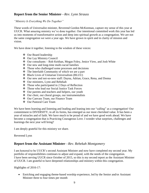#### **Report from the Senior Minister***—Rev. Lynn Strauss*

#### *"Ministry Is Everything We Do Together"*

These words of Universalist minister, Reverend Gordon McKeeman, capture my sense of this year at UUCR. What amazing ministry we've done together. Our intentional committed work this year has led us into moments of transformative action and deep into spiritual growth as a congregation. We are not the same congregation we were a year ago. We have grown in spirit and in clarity of mission and vision.

We have done it together, listening to the wisdom of these voices:

- Our Board leadership
- Our Lay Ministry Council
- $\triangleleft$  Our consultants Rob Keithan, Megan Foley, Jenice View, and Josh White
- $\triangleleft$  Our new and long-time multi-racial families
- $\triangle$  Those who challenged some processes and decisions
- The Interfaith Community of which we are a part
- Black Lives of Unitarian Universalism (BLUU)
- Our new and not-so-new staff: Dayna, Adrian, Grace, Rena, and Donna
- Our ministers, Lynn and Rebekah
- $\triangle$  Those who participated in 2 Days of Reflection
- Those who lead our Social Justice Task Forces
- Our parents and teachers and helpers, our youth
- $\triangle$  Our choir, our choral groups, our instrumentalists
- Our Canvass Team, our Finance Team
- Our Pastoral Care Team

We have been learning and listening and leading and leaning into our "calling" as a congregation! Our commitment to DIVERSITY, in all its forms, has emerged as our most cherished value. It has been a year of miracles and of faith. We have much to be proud of and we have good work ahead. We have become a congregation that is Practicing Courageous Love. I wonder what surprises, challenges and learnings the next year will bring?

I am deeply grateful for this ministry we share.

#### Reverend Lynn

#### **Report from the Assistant Minister***—Rev. Rebekah Montgomery*

I am honored to be UUCR's second Assistant Minister and now have completed my second year. My portfolio of responsibilities continues to adjust and expand, with the needs of the congregation. I have been serving UUCR since October of 2015, so this is my second report as the Assistant Minister of UUCR. I am grateful to have deepened relationships and ministry within this congregation.

Highlights of 2016-17:

 Enriching and engaging theme-based worship experience, led by the Senior and/or Assistant Minister three to four times per month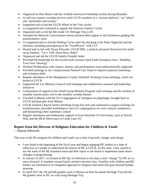- Organized an Iftar dinner with the Turkish-American Friendship society during Ramadan
- Co-led two creative worship services with UUCR members in a "sermon dialectic," on "labels" and "spirituality and science"
- Supported and co-led the UUCR Wheel of the Year circles
- Co-organized and continued to support the Emerson Sunrise Circles
- Organized and co-led the 6th Grade UU Heritage Trip in DC
- Attended the Beloved Conversations retreat and provided support to the facilitators guiding this transformative work
- Co-organized and co-led the Healing Circles after the shooting at the Pulse Nightclub and the elections, including participating in the "Fast4Power" with CLF
- Hosted and co-led with Dayna Edwards, UUCR DRE, a potluck and panel discussion for multiracial families: "Let's Talk About Race, Baby!"
- Organized and led the UUCR Family-Friendly Seder
- Provided the leadership for the second multi-session Adult Faith Formation class, "Building" Your Own Theology"
- Wisdom Wednesdays with vespers, dessert, and presentations were enthusiastically supported
- Provided trainings to our compassionate Pastoral Care Team to improve pastoral counseling and visitation skills
- Regular attendance of the Montgomery County Interfaith Working Group meetings, which are hosted at UUCR
- Supported the Lay Ministry Council with trainings and collaborative pastoral and leadership initiatives
- Continuation of support to the Small Group Ministry Program with trainings and the creation of monthly session plans, tied to the monthly worship themes
- Traveled to Bhutan with the UU Congregation of Arlington on pilgrimage, brought back to UUCR spiritual gifts from Bhutan
- UUCR initiated a Racial Justice Working Group last year and continued to support trainings for transformation, provided workshops to area UU congregations on cross-cultural competency and dismantling white supremacy culture
- Regular attendance and enthusiastic support of local Interfaith UU-led events, such as Diwali, Holi, and the MLK Observance at Cedar Lane UU

# **Report from the Director of Religious Education for Children & Youth**

—*Dayna Edwards*

This year in the RE program for children and youth was a time of growth, change, and energy.

- I was hired at the beginning of the fiscal year and began engaging RE leaders in a time of reflection as I sought to understand the history of RE at UUCR. At this time, I also started to use the work of the RE transition team and their report to the board to implement some minor changes to programming.
- In January of 2017, we hosted an RE day of reflection to develop a clear "charge" for RE as we move forward. A mandate toward family ministry became clear. Families with children and RE leaders are interested in an integrated approach to religious education that goes beyond Sunday morning.
- In April 2017 the 7th and 8th graders went to Boston on their bi-annual Heritage Trip and the 6th graders went to DC on a day-long Heritage Trip.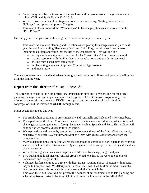- As was suggested by the transition team, we have laid the groundwork to begin elementary school OWL and Spirit Play in 2017-2018.
- We have hosted a series of multi-generational events including, "Getting Ready for the Holidays," and "pizza and postcard" nights.
- This year, I also introduced the "Wonder Box" to the congregation as a new way to do the "First Fifteen".

One thing you'd like your committee or group to work on or improve on next year:

- This year was a year of planning and reflection as we gear up for changes to take place next year. In addition to adding Elementary OWL and Spirit Play, we will also focus more on integrating children and youth into the life of the congregation. This will include:
	- o having children and youth in worship for the "First Fifteen" three times per month
	- o sharing resources with families that they can take home and use during the week
	- o hosting faith-based play-date groups
	- o implementing a new and improved Coming of Age program
	- o and much more…

There is a renewed energy and enthusiasm in religious education for children and youth that will guide us in the coming year.

### **Report from the Director of Music***—Grace Cho*

The Director of Music is the head professional musician on staff and is responsible for the overall planning, management, and implementation of all aspects of UUCR's music programming. The mission of the music department of UUCR is to support and enhance the spiritual life of the congregation, and the mission of UUCR, through music.

Major accomplishments this year:

- The Adult Choir continues to grow musically and spiritually and welcomed 4 new members.
- The repertoire of the Adult Choir has expanded to include more world music, which presented challenges of learning to sing in foreign languages such as Spanish and Zulu. This tradition will continue as we promote diversity through music.
- We explored sonic diversity by presenting the women and men of the Adult Choir separately, respectively on Earth Day Sunday and Mother's Day, with enthusiastic response from the congregation.
- Many outstanding musical talents within the congregation continue to participate in the worship service, which includes instrumentalists (piano, guitar, violin, trumpet, drum, etc.) and vocalists of various styles.
- We welcomed guest musicians who presented Mexican folk songs, tango, and jazz.
- Two outstanding local musical/spiritual groups joined to enhance the worship experience: Sanctuaries and SongRise DC.
- Volunteer leaders continue to thrive with their groups: Cynthia Shires-Thurston with Sonaria, Gaynelle Campbell with WildBerry Jam, Barbara Weis with the Children's Choir, Samantha Buckley with the Unisons, and Christin Green with the Drum Circles.
- This year, the Adult Choir did not present their annual choir fundraiser due to late planning and scheduling issues. Instead, the Adult Choir will present a fundraiser in the fall of 2017.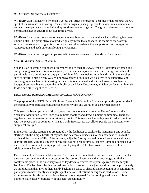#### *WILDBERRY JAM (Gaynelle Campbell)*

WildBerry Jam is a quartet of women's voices that strives to present vocal music that captures the UU spirit of inclusiveness and caring. The members originally sang together for a one-time event and all enjoyed the experience so much that they continued to sing together. The group rehearses as schedules permit and sings at UUCR about five times a year.

WildBerry Jam has no conductor or leader; the members collaborate, with each contributing her own unique skills. The group strives to produce quality music that enhances the theme of the worship service or other event. Its goal is to present a musical experience that supports and encourages the Congregation and each other in a loving environment.

WildBerry Jam has no budget; it operates with the encouragement of the Music Department.

#### *SONARIA (Cynthia Shires-Thurston)*

Sonaria is an ensemble composed of members and friends of UUCR who self-identify as women and enjoy singing together. It is an open group, in that members join as their time, energy, and schedules permit, with no commitment to any period of time. We meet twice a month and sing in the worship service several times a year. We are a noncovenanted group, but we do strive to be supportive and encouraging of each other in making music and in our personal and spiritual growth. We have no budget of our own but are under the umbrella of the Music Department, which provides us with music folders and other supplies as needed.

#### *DRUM CIRCLE & SHAMANIC MEDITATION CIRCLE (Christin Green)*

The purpose of the UUCR Drum Circle and Shamanic Meditation Circle is to provide opportunities for the community to participate in and experience rhythm and vibration as a spiritual practice.

This year has been ripe with spiritual growth and development in both the Drum Circle and the Shamanic Meditation Circle. Each group meets monthly and draws a unique community. There are regulars as well as newcomers almost every month. This keeps each monthly event fresh and unique with no expectation of continuity. This is a truly free activity that allows people the opportunity to simply "show up."

In the Drum Circle, participants are guided by the facilitator to explore the instruments and sounds, starting with the simple heartbeat rhythm. The heartbeat connects us to each other as well as to the earth and the rhythms of life. Unfortunately, a djembe (drum) donated by our former music director, Jennifer Rogers, went missing this spring and has not been returned. Paulette Campbell donated a very nice cow skin drum that multiple people can play together. This has provided a wonderful new addition to our Drum Circle.

Participants of the Shamanic Meditation Circle meet in a circle first to become centered and establish their own personal intention or question for the session. Everyone is then encouraged to find a comfortable place in the Sanctuary to sit or lay down to receive the rhythms played for them by the facilitator. The facilitator leads a guided meditation to assist in their journey, drums for approximately 20 minutes, and then invites them gently back into a space of sharing and processing. It is common for participants to have deeply meaningful epiphanies or realizations during these meditations. Some experience simple relaxation and leave feeling more prepared for the coming week ahead. It is an honor to share these vibrations with this beloved community.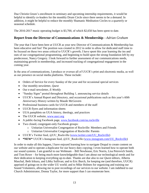Due Christin Green's enrollment in seminary and upcoming internship requirements, it would be helpful to identify co-leaders for the monthly Drum Circle since there seems to be a demand. In addition, it might be helpful to reduce the monthly Shamanic Meditation Circles to a quarterly or seasonal schedule.

The 2016-2017 music operating budget is \$3,700, of which \$2,650 has been spent to date.

#### **Report from the Director of Communications & Membership***—Adrian Graham*

The year that I have been here at UUCR as your new Director of Communications & Membership has been educative and fun! The position was created in 2012 in order to allow for dedicated staff time to be focused on these two areas critical to UUCR's growth; I have spent this year learning the ins and outs of our congregational programming, and beginning to build upon the strong foundation left by my predecessor, Nancy Gregory. I look forward to further assessment of our communications needs, maintaining growth in membership, and increased tracking of congregational engagement in the coming year.

In the area of communications, I produce or oversee all of UUCR's print and electronic media, as well as our presence on social media platforms. These include:

- Orders of Service for every Sunday of the year and for occasional special services
- Our monthly newsletter, *Quest*
- Our e-mail newsletter, *E-Weekly*
- "Sunday Signs" posted throughout Building 1, announcing service details
- UUCR's Annual Report and Directory, and occasional publications such as this year's *60th Anniversary History* written by Maude McGovern
- Professional business cards for UUCR and members of the staff
- UUCR flyers and information sheets
- UUA pamphlets on UUA history, theology, and practices
- The UUCR website, [www.uucr.org](http://www.uucr.org/)
- A public-facing Facebook page, [www.facebook.com/uu.rockville](http://www.facebook.com/uu.rockville)
- Two closed, congregant-only Facebook groups:
	- o Unitarian Universalist Congregation of Rockville: Members and Friends
	- o Unitarian Universalist Congregation of Rockville: Parents
- UUCR's Twitter feed, @UU\_Rockville [\(www.twitter.com/UU\\_Rockville\)](http://www.twitter.com/UU_Rockville)
- **\*NEW\*** UUCR's Instagram feed, @UU\_Rockville [\(www.instagram.com/UU\\_Rockville\)](http://www.instagram.com/UU_Rockville)

In order to make all this happen, I have enjoyed learning how to navigate Drupal to create content on our website and to operate a duplicator for our heavy duty copying; I even learned how to operate both our sound systems. I am grateful to our Webteam – Bill Newhouse, Eric Norris, Lisa Petrovich Smith, and Tom Rowe – for being much more knowledgeable than I am about our technological needs and for their dedication to keeping everything up-to-date. Thanks are due also to our *Quest* editors, Alberta Maschal, Beth Irikura, and Libby Sullivan; and to Eric Burch, for keeping me (and therefore, UUCR) apprised of goings-on in the wider UU world; and to Mike Holmes for organizing and training our Sound Volunteers, allowing me to post recordings of our services to our website. I am indebted to our Church Administrator, Donna Taylor, for more support than I can enumerate here.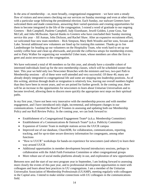In the area of membership – or, more broadly, congregational engagement – we have seen a steady flow of visitors and newcomers checking out our services on Sunday mornings and even at other times, with a particular surge following the presidential election. Each Sunday, our stalwart Greeters have welcomed them and made connections, answering their varied questions and creating opportunities for them to become integrated in the life of the congregation. I extend a word of gratitude to our ongoing Greeters – Bob Campbell, Paulette Campbell, Judy Eisenhauer, Jewell Golden, Lynne Goss, Sue McCall, and John McIlwaine. Special thanks to Greeters who have concluded their Sunday morning service this year – Jill Asman, John Dickson, and Rachel Shaw. After an expansive recruitment effort, we welcomed four new team members – Rick Simpson, Mary Beth Woodin and her sons, Sovann and Luke. Several additional new volunteers are lined up for training this summer. Thanks go to Jon Landenburger for heading up our volunteers on the Hospitality Team, who work hard to set up our weekly coffee hour and clean up afterwards, and provide the coffee/tea setups for membership events; and to Patty Walker for organizing our wonderful Usher team, whose members are often the first to greet and assist newcomers to the congregation.

We have welcomed a total of 40 members so far this year, and already have a sizeable cohort of interested individuals lined up for the next membership classes, which will be scheduled sooner than later. This year we held only two Newcomer Brunches with the ministers and two, two-part Path to Membership sessions – all of these were well-attended and very successful. Of these 40, many are already deeply integrated in congregational life and some are stepping into leadership positions. As of this writing, attrition through death or resignation is relatively low, leaving our overall numbers higher than they have been in recent years, and we are poised for further growth. In the coming year, there will be an increase in the opportunities for newcomers to learn about Unitarian Universalism and to become involved, allowing them to discern more quickly the appropriate next steps on their spiritual paths.

In my first year, I have not been very innovative with the membership process and with member engagement, and I have introduced only slight, incremental, and infrequent changes in our communications. I assisted the Board of Trustees in assessing and updating both our Membership Policy and our Roll Review Policy. In the coming year, we can look forward to:

- Establishment of a Congregational Engagement Team\* (a.k.a. Membership Committee)
- Establishment of a Communications & Outreach Team\* (a.k.a. Publicity Committee)
- Expansion of Greeter Team in multiple stations across the UUCR campus
- Improved use of our database, ChurchDB, for collaboration, communications, reporting, tracking, and for up-to-date secure directory information for congregants, among other functions
- "How to UUCR" workshops for hands-on experience for newcomers (and others!) to learn their way around UUCR
- Additional opportunities in member development beyond introductory sessions, perhaps in collaboration with the Adult Faith Formation Committee or other congregational groups
- More robust use of social media platforms already in use, and exploration of new opportunities

Between now and the start of our next program year in September, I am looking forward to assessing more closely the events of this past year, and to professional development opportunities to meet with colleagues and learn about best practices in UU congregations. I am a member of the Unitarian Universalist Association of Membership Professionals (UUAMP), meeting regularly with colleagues in the Capital area. I intend to make similar connections with UU colleagues in the communications field.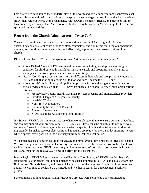I am grateful to have joined the wonderful staff of this warm and lively congregation! I appreciate each of my colleagues and their contributions to the spirit of the congregation. Additional thanks go again to Jill Asman, without whose deep acquaintance with UUCR's members, friends, and practices I might have found myself in a pickle! And also to Pat Einhorn, Lay Minister for Membership, for her can-do spirit and joyful creativity.

#### **Report from the Church Administrator***—Donna Taylor*

The spirit, commitment, and vision of our congregation is amazing! I am so grateful for the outstanding and consistent contributions of staff, contractors, and volunteers that keep our operations, grounds, and buildings running smoothly and effectively, supporting the diverse activities of our church.

Did you know that UUCR provides space for over 2000 events and activities every year?

- About 1300 (66%) are UUCR events and programs including worship services; religious education for children, youth and adults; music rehearsals and programs; and all variety of social justice, fellowship, and church business meetings;
- Nearly 700 (32%) are rental events from 18 different individuals and groups (not including the Pre-Schools), that bring in around \$35,000 of additional income to UUCR; and
- About 40 (2%) are local non-profit philanthropic organizations sharing our commitment to social service and justice, that UUCR provides space at no charge. A few of such organizations this year were:
	- o Montgomery County Health & Human Services Housing and Homelessness Providers
	- o Interfaith Clergy of Montgomery County
	- o Interfaith Works
	- o Non-Profit Montgomery
	- o Community Ministries of Rockville
	- o Amnesty International
	- o NAMI (National Alliance on Mental Illness)

Jay Stewart, UUCR's part-time contract custodian, works along with me to ensure our church facilities and grounds support your programs and UUCR's mission. Jay cleans the church buildings each week and sets up/takes down/rearranges tables and chairs for special church and rental events. And, most importantly, he makes sure our classrooms and Sanctuary are ready for every Sunday morning—even when a special event goes on in the Sanctuary until midnight the night before!

With expanded use of church facilities for UUCR and rental events, Jay's responsibilities also expand. We now charge renters a custodial fee for Jay's services, to offset the custodial cost to the church. And we both appreciate when UUCR members (and long-term renters) are able to do some of their own table and chair set up, to save Jay's time and effort for the big things.

Bryant Taylor, UUCR's Rental Attendant and Facilities Coordinator, left UUCR last fall. Bryant's responsibilities for general building maintenance has been assumed by Jay (with able assists from our Building and Grounds Team!), and I have picked up most of the rental and Sunday building attendant duties. We continue to evaluate UUCR needs and whether to search for a replacement Facilities person.

Several major building, grounds and infrastructure projects were completed this year, including: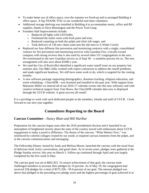- To make better use of office space, over the summer we fixed-up and re-arranged Building 4 office space. A big THANK YOU to our wonderful tool-time volunteers.
- Additional storage shelving was installed in Building 4 to accommodate music, office and RE supplies, thanks to Dave Bennington and the Power Tool Gang.
- Founders Hall Improvements include:
	- o Replaced all lights with LED bulbs,
	- o Freshened the entire room with fresh paint and trim,
	- o Replaced carpeting on both the pulpit and choir loft stages, and
	- o Took delivery of 136 new chairs (and sent the old ones to A Wider Circle)
- Replaced our four different fire prevention and monitoring contracts with a single, consolidated contract for fire prevention and monitoring services with Guardian Fire, a locally owned company with strong reviews that is also used by several other UU congregations in the area. We transitioned to the new Guardian service as of Sept 30—a seamless process for us. The new arrangement will also save about \$1000 a year.
- We (and the City of Rockville) identified a significant water runoff issue on our property last summer also. Our B&G folks worked with expert contractors to address the runoff problems, and made significant headway. We still have some work to do, which is targeted for the coming months.
- A new software package supporting demographics, donation tracking, religious education, and event scheduling—ChurchDB—was licensed and installed in the past year. With support from Marianne Miller we entered all of our 2016-17 calendar events into this new software; and with creative technical support from Tom Rowe, the ChurchDB calendar data now is displayed through the UUCR website. A great success all round!

It is a privilege to work with such dedicated people as the members, friends and staff of UUCR. I look forward to our next year together.

# **Committees Reporting to the Board**

#### **Canvass Committee**—*Nancy Blum and Bill Hurlbut*

Preparation for the canvass began soon after the 2016 presidential election and it launched in an atmosphere of heightened anxiety about the state of the country mixed with enthusiasm about UUCR engagement to make a positive difference. The theme of the canvass, "What Matters Now," was reinforced by colorful collages created by our youth, in inspired canvass moments from the pulpit, and in the canvass communications and messaging.

The Fellowship Dinner, hosted by Andy and Melissa Moore, launched the canvass with the usual feast of delicious food, lively conversation, and good cheer. As in recent years, pledges were gathered at the Pledge Sunday service, this year on March 5. Follow-up continued through April and was largely completed by the first week in May.

The canvass goal was set at \$601,923. To ensure achievement of that goal, the canvass team challenged members to increase their pledges by 10 percent. As of May 19, the congregation had received 228 pledges for a total of \$575,336—95.6 percent of our goal. The amount pledged was above that pledged in the preceding two pledge years and the highest percentage of goal achieved in at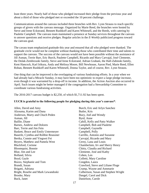least three years. Nearly half of those who pledged increased their pledge from the previous year and about a third of those who pledged met or exceeded the 10 percent challenge.

Communications around the canvass included three brunches with Rev. Lynn Strauss to reach specific groups of givers with the canvass message. Organized by Marie Reed, the brunches were hosted by Steve and Irene Eckstrand, Bennett Rushkoff and Karen Whitesell, and the Reeds, with catering by Paulette Campbell. The canvass team maintained a presence at Sunday services throughout the canvass to answer questions and receive pledges. Regular articles in the *E-Weekly* publicized progress toward the canvass goal.

The cavass team emphasized gratitude this year and ensured that all who pledged were thanked. The gratitude circle would not be complete without thanking those who contributed their time and talents to support the canvass. The success of the canvass would not have been possible without the assistance of Jill Asman, Terrie Barr, Eric Burch, Paulette Campbell, Ricardo and Mary Carvajal, José Clemente, the Dolak-Zembrzuski family, Steve and Irene Eckstrand, Adrian Graham, the Hall-Zabinski family, Kent Hancock, Karl Irikura, Andy and Melissa Moore, Bill Newhouse, Aaron Pied, Marie Reed, Ellen Rohan, Bennett Rushkoff and Karen Whitesell, Donna Taylor, and of course, Rev. Lynn Strauss.

One thing that can be improved is the overlapping of various fundraising efforts. In a year when we had already had a Miracle Sunday, it may have been too optimistic to expect a large pledge increase, even though it was warranted by a drop-off in income. In addition, the Action Auction also occurred in April. Such issues might be better managed if the congregation had a Stewardship Committee to coordinate various fundraising activities.

The 2016-2017 canvass budget is \$2,250, of which \$1,711.92 has been spent.

#### **UUCR is grateful to the following people for pledging during this year's canvass\***:

Allen, David and Amy Alzouma, Karim and Dana Anderson, Marty and Chuch Peden Asman, Jill Baillie, Diane Barnes, Andrew and Dolores Barr, Terrie and Jim Fein Baskett, Bruce and Emily Untermeyer Bauerle, Cynthia and Robbie Reasoner Bertka, Connie and Yingwei Fei Beyers, Matthew and Pamela West Blackford, Corinne Bloomquist, Bonnie Blue, Jim and Lee Bolland, Silvia Boyd, Gayle Bozzo, Stephanie and Tom Brandt, Susan Brigatti, Adriana Bright, Roselie and Mark Lewandoski Brooke, Mary Buck, Janet

Burch, Eric and Arlyn Sanchez Butler, Kris Buzy, Joel and Wendy Byrd, Anne Cahill, Kelly and Patty Walker Campbell, Bob and Paulette Campbell, Gaynelle Campbell, Polly Carrillo, Antonio and Suzanne Carvajal, Ricardo and Mary Cerny, Lana and Louis Chamberlain, Irv and Sherry Henry Chitty, Claudia and Richard Clemente, José and Kathy Cohen, Len Colletti, Mary Caroline Congdon, Laura Crawford, Steve and Liliane Floge Crump, Wayne and Annmarie Culbertson, Susan and Stephen Wright Dangel, Carol and Dick Danielson, Carole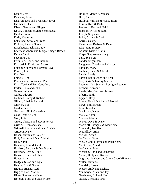Dauler, Jeff Dawisha, Sahar Delavan, Deb and Bronson Hoover Dittmann, Sharrill Dixon, George and Ginger Dolak, Colleen & Matt Zembrzuski Dunbar, John Earle, Katherine Eckstrand, Steve and Irene Einhorn, Pat and Steve Eisenhauer, Jack and Judy Enceneat, André and Marga Adiego-Blasco Fabian, Teki Facemire, Jon Fenimore, Chuck and Natalie Fitzpatrick, David and Sharon Folsom, Ginny and Norman Rave Forrest, Julie Fox, Joan Francis, Tim Friedenberg, Louise and Paul Fritz, Terri and Ron Cancelose Furlani, Cita and John Gaitan, Juliette Garbe, Edward Gellman, Carey & Richard Gilbert, Ethel & Richard Gilfrich, Bob Golden, Jewell Goodyear, JP & Catherine Goss, Lynne & Joe Graf, Julie Green, Christin and Kevin Power Griffin, Glenn and Jane Grinnell, Lucinda and Leah Sneider Grissom, Nancy Haber, Martin and Valerie Hall, Andrea and Dan Zabinski Hall, Karen Hancock, Kent & Gayle Harrison, Barbara & Dan Pierce Harrison, Beth & Todd Haugen, Brian and Shani Hayes, Allen Hedges, Susan and Kyle Helton, Don & Shana Higgins-Bisnett, Cathy Higgins-Bort, Marion Hines, Spencer and Nita Hoferek, Mary & Susan Wilson

Holmes, Marge & Michael Huff, Laura Hurlbut, William & Nancy Blum Irikura, Karl & Beth Janowski, Bob and Heidi Johnson, Myles & Ruth Joseph, Stephanie Julka, Clarice & Chris Karras, George Kawamura, Barbara & Dale Klag, Jane & Narcy Kohout, Nick & Chris Kreps, Stephanie & Gary Lam, See-Yan Landenburger, Jon Langbehn, Claudia and Marcos Lanigan, Mary Lapham, Steve & Cheryl Larkin, Sandy Larson-Rabin, Zach and Leah Lee, Doris & Jeremy Martin Leonard, Ody & Myra Remigio-Leonard Leonard, Suzanne Lewis, MaryBeth and Jeffrey Libert, Judith Lippert, Dory Lorms, David & Alberta Maschal Lowe, Phil & Fran Luce, Marsha MacIntyre, Karen Malley, Karen Malone, Maura Marks, Dave & Diane Martzloff, François & Madeleine Mascardo, Jennifer McCaffrey, Anne McCall, Susan McCarthy, Sean McClelland, Martha and Peter Shaw McGovern, Maude McIlwaine, John McNabb, Chris and Samantha Meyer, Holly and Robert Mignano, Michael and Jaime Chao Mignano Miller, Marianne Mondelo, Susan Moore, Andy and Melissa Mukherjee, Mary and Jay Newhouse, Bill and Kay Norris, Eric and Karen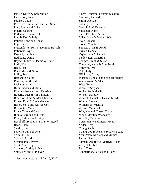Parker, Karen & Dan Zimble Partington, Leigh Paulson, Louis Petrovich Smith, Lisa and Jeff Smith Pied, Aaron and Erika Pinard, Courtney Pittleman, Karen & Steve Plumb, Don & Judy Pollack, Lane and Kenan Popp, Jan Preisendorfer, Rolf & Dominic Russoli Pulvirenti, April Randall, Carolyn Rathbone, Donna Rayner, Judith & Dennis Wellnitz Redd, Ken Reed, Lisa Reed, Marie & Steve Reilly, Scott Reinsberg, Carol Reuther, Pat & Ted Richards, Ann Riley, Bryan and Marla Robbins, Kenneth and Teresina Roberts, Luci & Jim Carleton Robinson, Julie & Alex Chauche Rohan, Ellen & Steve Greene Rosen, Steve and Allison Cox Rosewater, Mary Rowe, Tom and Gwen Runko, Virginia and Erik Rupp, Kalman and Kathy Rushkoff, Bennett & Karen Whitesell Ryan, Ellen Sandin, Ken Santerre, Julia & Tyler Schmitt, Gail Schrack, Roald Schuhmann, Jeremy Scott, Anne Hope Shannon, Christy & Mark Sherr, Ted and Marialyce

Shires-Thurston, Cynthia & Ginny Simpson, Richard Smith, Alonzo Solberg, Larissa Sosa, Julio & Rebecca Spicknall, Anne Steel, Elizabeth & Sam Stiles, Mark & Barbara Weis Stolz, Richard Stover, Connie Strauss, Lynn & David Taylor, Donna Taylor, Jack & Pamela Taylor, Len & Martha Thomas, Frank & Susan Timmons, Karla & Burt Smith Tolgyesi, Eva Toth, Judy Uffelman, Abbey Watson, Kendall and Carla Rodriguez Watts, Angie & Glenn West, Bryan Wheeler, Stephen White, Robin & Chris Wicker, Dorothy Wilcock, Daniel & Takako Maeda Wilcox, Steven Williamson, Victoria Wilson, Mark & Jo Witt, Kevin & Duyen Truong Wood, Marilyn "Mandara" Woodin, Mary Beth Yates, Jenny and Marie Vivas Yoder, Greg Young, Celia Young, Joe & Melissa Scholes Young Youngman, Michael and Monica Zarrett, Sue Zatman, Andrew & Marilyn Briant Zerby, Elizabeth Zetts, Terry Zimmerman, Patrick and Elana

\*List is complete as of May 16, 2017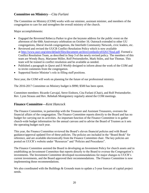#### **Committee on Ministry**—*Cita Furlani*

The Committee on Ministry (COM) works with our minister, assistant minister, and members of the congregation to care for and strengthen the overall ministry of the church.

Major accomplishments:

- Engaged the Reverend Rebecca Parker to give the keynote address for the public event on the afternoon of the 60th Anniversary celebration on October 16. Outreach extended to other UU congregations, liberal Jewish congregations, the Interfaith Community Network, civic leaders, etc.
- Reviewed and revised the UUCR Conflict Resolution Policy which is now available at [http://www.uucr.org/sites/default/files/document-archive/confpolicy032617final.pdf.](http://www.uucr.org/sites/default/files/document-archive/confpolicy032617final.pdf) Formed a Conflict Resolution Team, as described in Step 3 of the newly revised policy. The members of this team are Wendy Buzy, Marianne Miller, Rolf Preisendorfer, Mark Stiles, and Sue Thomas. This team will be trained in conflict resolution and be available as needed.
- Published a paragraph in *Quest* and *E-Weekly* designed to inform about the work of the COM and to invite comments from the congregation.
- Supported Senior Minister's role in filling staff positions.

Next year, the COM will work on planning for the future of our professional ministry.

The 2016-2017 Committee on Ministry budget is \$990; \$500 has been spent.

Committee members: Ricardo Carvajal, Steve Einhorn, Cita Furlani (Chair), and Rolf Preisendorfer. Rev. Lynn Strauss and Rev. Rebekah Montgomery regularly attend the COM meetings.

#### **Finance Committee—***Kent Hancock*

The Finance Committee, in partnership with the Treasurer and Assistant Treasurers, oversees the financial affairs of the congregation. The Finance Committee reports directly to the Board and has no budget for carrying out its activities. An important function of the Finance Committee is to gather church-wide budget information for the annual canvass and to advise the Board of Trustees as it sets the operating budget each year.

This year, the Finance Committee reviewed the Board's eleven financial policies and with Board guidance/approval updated five of these policies. The policies are included in the "Board Book" for reference, and are available electronically from the Finance Committee chair. The key policies are posted on UUCR's website under "Resources" and "Policies and Procedures".

The Finance Committee assisted the Board in developing an Investment Policy for church assets and in establishing an Investment Committee that reports directly to the Board to oversee the Congregation's investments. The Investment Committee developed recommendations for major changes to UUCR's current investments, and the Board approved their recommendations. The Finance Committee is now implementing those recommendations.

We also coordinated with the Buildings & Grounds team to update a 5-year forecast of capital project needs.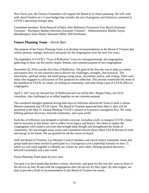Next fiscal year, the Finance Committee will support the Board in its future planning. We will work with church leaders on a 5-year budget that includes the cost of programs and initiatives contained in UUCR's upcoming strategic plan.

Committee members: Kent Hancock (Chair); Julie Robinson (Treasurer); Eric Burch (Assistant Treasurer – Receipts); Barbara Harrison (Assistant Treasurer – Disbursements); Martha Taylor (Bookkeeper); Dave Marks; Marianne Miller; Bill Newhouse.

#### **Future Planning Team**—*Terrie Barr*

The purpose of the Future Planning Team is to develop recommendations to the Board of Trustees that outline primary strategic directions and goals for the congregation over the next five years.

The highlights of UUCR's "Year of Reflection" were two intergenerational, all-congregation gatherings to draw out the stories, hopes, dreams, and common purpose of our congregation.

November 20, 2016 was the First Day of Reflection. The goal of the first day was to help us explore and express how we see ourselves and to discern our challenges, strengths, and resources. The Sanctuaries, spiritual artists, led small groups using music, movement, poetry, and writing. There were many who engaged in a discussion of five questions for reflection. The process created the felt sense of the heartbeat of UUCR, its values, its feeling of community, and what being a part of UUCR offers to congregants.

April 2, 2017 was our Second Day of Reflection and was led by Rev. Megan Foley, our UUA consultant, who challenged us to reflect together on our common purpose.

The wonderful thoughts gathered during both days of reflection allowed the Team to draft a vibrant Mission statement and UUCR values. The Board of Trustees approved these May 2; they will be presented at the May 21 Annual Meeting. UUCR's mission is to practice courageous love. We value lifelong spiritual discovery, beloved community, and a just world.

Each day of reflection was designed to include everyone, including youth, to imagine UUCR's future and its necessity in that future, and to reflect on its legacy and history. We chose to inspire the congregation with creative activities that brought deep thought and strengthened the bonds of community. We encouraged many voices and considered choices about where UUCR devotes its time and energy in the future. We are grateful for all the voices we heard.

Staff and Board of Trustees, Lay Ministry Council members and Social Justice committee chairs and group leads have been invited to participate in a Courageous Love Leadership Summit on June 17, where we will work together to identify our visions for each value, lifelong spiritual discovery, beloved community and a just world.

Future Planning Team plans for next year:

Our goal is to have leadership produce visions, directions, and goals for the next few years to share in the service on July 30 and with the congregation after the service for their input. By mid-August, we plan to provide a draft of recommendation to the Board of Trustees for action.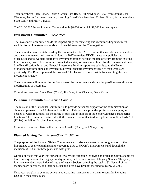Team members: Ellen Rohan, Christin Green, Lisa Reed, Bill Newhouse, Rev. Lynn Strauss, Jose Clemente, Terrie Barr; new member, incoming Board Vice President, Colleen Dolak; former members, Scott Reilly and Mary Carvajal

The 2016-2017 Future Planning Team budget is \$8,000, of which \$2,000 has been spent.

#### **Investment Committee**—*Steve Reed*

The Investment Committee holds the responsibility for reviewing and recommending investment vehicles for all long-term and mid-term financial assets of the Congregation.

The committee was re-established by the Board in October 2016. Committee members were identified and the committee started meeting in January 2017 to review UUCR investment policies and procedures and to evaluate alternative investment options because the rate of return from the existing funds was very low. The committee evaluated a variety of investment funds for the Endowment Fund, Site Beautification Fund, and General Investment Fund. A report was submitted to the Board proposing that these funds be invested in different specific investment vehicles than were used previously. The Board approved the proposal. The Treasurer is responsible for executing the new investment strategy.

The committee will monitor the performance of the investments and consider possible asset allocation modifications as necessary.

Committee members: Steve Reed (Chair), Jim Blue, Alex Chauche, Dave Marks

#### **Personnel Committee**—*Suzanne Carrillo*

The mission of the Personnel Committee is to provide personnel support for the administration of church employees to the Minister and the Board. This year, we provided professional support, as needed or when requested, for the hiring of staff and in support of the Senior Minister's managerial functions. The committee partnered with the Finance Committee to develop Fair Labor Standards Act (FLSA) guidelines for church employees.

Committee members: Kris Butler, Suzanne Carrillo (Chair), and Narcy Klag

#### **Planned Giving Committee**—*Sharrill Dittmann*

The purposes of the Planned Giving Committee are to raise awareness in the congregation of the importance of estate planning and to encourage gifts to UUCR's Endowment Fund through the inclusion of UUCR in those plans and with gifts.

Our major focus this year was our annual awareness campaign involving an article in Quest, a table for three Sundays around the Legacy Sunday service, and the celebration of Legacy Sunday. This year, four new members were inducted into the Legacy Society, bringing the total to 32. Several of the members are deceased, and their bequests plus gifts have brought the fund to over \$325,000.

Next year, we plan to be more active in approaching members to ask them to consider including UUCR in their estate plans.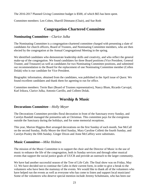The 2016-2017 Planned Giving Committee budget is \$500, of which \$65 has been spent.

Committee members: Len Cohen, Sharrill Dittmann (Chair), and Sue Roth

# **Congregation-Chartered Committee**

#### **Nominating Committee**—*Clarice Julka*

The Nominating Committee is a congregation-chartered committee charged with presenting a slate of candidates for church officers, Board of Trustees, and Nominating Committee members, who are then elected by the congregation at the Annual Congregational Meeting in the spring.

We identified candidates who demonstrate leadership skills and creativity, and who reflect the general make-up of the congregation. We found candidates for three Board positions (Vice President, General Trustee, and Treasurer) as well as candidates for two Nominating Committee positions, and submitted our recommendation to the Board for the replacement of one Nominating Committee member (Collen Dolak) who is our candidate for Vice President.

Biographic information, obtained from the candidates, was published in the April issue of *Quest*. We found excellent candidates and thank them for agreeing to run for office.

Committee members: Terrie Barr (Board of Trustees representative), Nancy Blum, Ricardo Carvajal, Karl Irikura, Clarice Julka, Antonio Carrillo, and Colleen Dolak.

# **Worship & Music**

#### **Decorations Committee**—*Holly Meyer*

The Decorations Committee provides floral decoration in front of the Sanctuary every Sunday, and Carolyn Randall managed the poinsettia sale at Christmas. This committee pays for the evergreens outside the Sanctuary during the holidays, and for some memorial receptions.

This year, Marion Higgins-Bort arranged decorations on the first Sunday of each month, Sue McCall on the second Sunday, Holly Meyer the third Sunday, Mary Caroline Colletti the fourth Sunday, and Carolyn Pooley the fifth Sunday. Ginger Dixon and Anne McCaffrey were substitutes.

#### **Music Committee—***Mike Holmes*

The mission of the Music Committee is to support the choir and the Director of Music in the use of music to enhance the life of the congregation, both in Sunday services and through other musical events that support the social justice goals of UUCR and provide an outreach to the larger community.

We have had another successful season of the Tree of Life Cafe. The final show was on Friday, May 12. We have decided not to continue the Cafes in their current form, in order to give a break to the volunteers who have been the mainstay of the events. We would like to thank all of the volunteers who have helped run the events as well as everyone who has come to listen and support local musicians! Some of the volunteers who deserve special mention include Jeremy Schuhmann, who has been our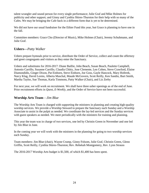talent wrangler and sound person for every single performance; Julie Graf and Mike Holmes for publicity and other support; and Ginny and Cynthia Shires-Thurston for their help with so many of the Cafes. We may be bringing the Cafe back in a different form that is yet to be determined.

We did not have our usual fundraiser for the Ethier Fund this year, but Grace is planning to have one in the fall.

Committee members: Grace Cho (Director of Music), Mike Holmes (Chair), Jeremy Schuhmann, and Julie Graf.

#### **Ushers—***Patty Walker*

Ushers prepare hymnals prior to service, distribute the Order of Service, collect and count the offertory and greet congregants and visitors as they enter the Sanctuary.

Ushers and substitutes for 2016-2017: Diane Baillie, John Beach, Susan Beach, Paulette Campbell, Antonio Carrillo, Susanne Carrillo, Claudia Chitty, Jose Clemente, Len Cohen, Steve Crawford, Elaine Diamondidis, Ginger Dixon, Pat Einhorn, Steve Einhorn, Joe Goss, Gayle Hancock, Mary Hoferek, Narcy Klag, David Lorms, Alberta Maschal, Maude McGovern, Scott Reilly, Ken Sandin, Burt Smith, Martha Taylor, Sue Thomas, Karla Timmons, Patty Walker (Chair), and Liz Zerby

For next year, we will work on recruitment. We shall have three usher openings as of the end of June. Prior recruitment efforts in *Quest*, *E-Weekly*, and the Order of Service have not been successful.

#### **Worship Arts Team**—*Jim Blue*

The Worship Arts Team is charged with supporting the ministers in planning and creating high-quality worship services. We provide a Worship Steward to prepare the Sanctuary each Sunday and a Worship Associate to assist in the pulpit as needed. We coordinate the lay-led services and the Sunday services with guest speakers as needed. We meet periodically with the ministers for training and planning.

This year the team was in charge of two services, one led by Christin Green in November and one led by Jim Blue in June.

In the coming year we will work with the ministers in the planning for going to two worship services each Sunday.

Team members: Jim Blue (chair), Wayne Crump, Ginny Folsom, Julie Graf, Christin Green, Glenn Griffin, Scott Reilly, Cynthia Shires-Thurston; Rev. Rebekah Montgomery, Rev. Lynn Strauss

The 2016-2017 Worship Arts budget is \$1,500, of which \$1,400 has been spent.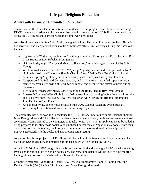# **Lifespan Religious Education**

#### **Adult Faith Formation Committee**—*Anne Byrd*

The mission of the Adult Faith Formation Committee is to offer programs and classes that encourage UUCR members and friends to learn about history and current issues of UU; build a better world by acting on UU values; and learn the wisdom of other world religions.

Anne Byrd became chair after Shira Ehrlich resigned in June. The committee wants to thank Shira for her hard work and many contributions to the committee's efforts. Our offerings during this fiscal year include:

- Eight-session Wednesday night class, "Building Your Own Theology Part I", led by either Rev. Lynn Strauss or Rev. Rebekah Montgomery
- October Friday night "Poetry and Music Coffeehouse," superbly organized and led by Celia Young
- Wisdom Wednesday, November 30 "Mystery, Majesty, Science and Our Spiritual Paths: A Night with Artist and Visionary Shanthi Chandra Sekar," led by Rev. Rebekah and Shanti
- A fall and spring "Spirituality in Film" session, created and presented by Tim Francis
- Co-sponsored the Beloved Conversations day and a half retreat provided support services, offered prerequisite viewing of *Gran Torino* movie, and prepared and served 3 meals during the retreat
- Two-session Wednesday night class, "Ethics and the Body," led by Rev Lynn Strauss
- Emerson's Sunrise Coffee Circle is now held every Sunday morning before the worship service and is led by either Rev. Lynn, Rev. Rebekah, or an AFFC lay leader (Bonnie Bloomquist, John Dunbar, or Tim Francis)
- An opportunity in June to watch several of the UUA General Assemble events such as Welcoming Celebration and Ware Lecture is being organized.

The committee has been working to revitalize the UUCR library under our own professional librarian, Myra Remigio-Leonard. The collection has been reviewed and updated; duplicates or irrelevant books are currently being offered to the congregation to take home. A wish list for publications to be added is being prepared to identify those books to be purchased or that the congregation may donate from their own collection. By September, the library will be moving to the other side of Fellowship Hall to improve accessibility to the books and also provide some seating.

As part of the library project, the RE children will be making little free lending library houses to be placed on UUCR grounds, and materials for those houses will be funded by AFFC.

A total of \$226 of our \$850 budget line has been spent for food and beverages for Wednesday evening events and includes a loss of \$34 on book sales. The remaining balance will be used to fund the free lending library construction costs and new books for the library.

Committee members: Anne Byrd (Chair), Rev. Rebekah Montgomery, Bonnie Bloomquist, John Dunbar, Thecla (Teki) Fabian, Tim Francis, and Myra Remigio-Leonard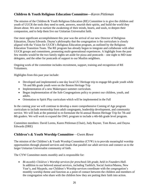#### **Children & Youth Religious Education Committee—***Karen Pittleman*

The mission of the Children & Youth Religious Education (RE) Committee is to give the children and youth of UUCR the tools they need to seek, answers, nourish their spirits, and build the world they dream about. We aim to nurture the awakening of their minds, hearts, and souls, to deepen their compassion, and to help them live our Unitarian Universalist faith.

Our most significant accomplishment this year was the arrival of our new Director of Religious Education, Dayna Edwards. Dayna's philosophy that the congregation is the curriculum is closely aligned with the Vision for UUCR's Religious Education program, as outlined by the Religious Education Transition Team. The RE program has already begun to integrate and collaborate with other UUCR groups and committees, promoting multi-generational experiences. A highlight from the past few months would be the two family nights set aside for pizza and postcards – one night to MD state delegates, and the other for postcards of support to our Muslim neighbors.

Ongoing work of the committee includes recruitment, support, training and recognition of RE Volunteers.

Highlights from this past year include:

- Developed and implemented a one day local UU Heritage trip to engage 6th grade youth while 7th and 8th grade youth were on the Boston Heritage Trip
- Implementation of a new Makerspace summer curriculum.
- Began implementation of the Safe Congregations policy to protect our children, youth, and adults.
- Orientation to Spirit Play curriculum which will be implemented in the Fall

In the coming year we will continue to develop a more comprehensive Coming of Age program curriculum to include mentorship from adult congregants, leadership development, and community service. We will look at the potential to re-formulate the bi-annual Boston Heritage Trip for 7th and 8th graders. We will work to expand the OWL program to include a 4th-6th grade level program.

Committee members: David Lorms, Karen Pittleman (Chair), Judy Rayner, Tom Rowe, and Dayna Edwards (DRE)

#### **Children's & Youth Worship Committee**—*Gwen Rowe*

The mission of the Children's & Youth Worship Committee (CYW) is to provide meaningful worship opportunities through planned services and rituals that parallel our adult services and connect us to the larger Unitarian Universalist community of faith.

The CYW Committee meets monthly and is responsible for:

 *Bi-monthly Children's Worship services for preschool-5th grade, held in Founders Hall.* In addition to our beloved annual services, including Tashlich, Social Justice/Manna, New Year's, and Maypole, our Children's Worship services coordinate with the congregation's monthly worship theme and function as a point of contact between the children and members of the congregation who share with the children how they are putting their faith into action.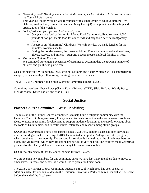*Bi-monthly Youth Worship services for middle and high school students, held downstairs near the Youth RE classrooms.* This year our Youth Worship was re-vamped with a small group of adult volunteers (Deb

Delavan, Andrea Hall, Karen Heilman, and Mary Carvajal) to help facilitate the set-up and organization of the worship.

- *Social justice projects for the children and youth:*
	- o Our year-long food collection for Manna Food Center typically raises over 2,000 pounds of non-perishable food for our friends and neighbors here in Montgomery County.
	- o As part of an "all morning" Children's Worship service, we made lunches for the homeless women's shelter.
	- o During the holiday season, the treasured Mitten Tree our annual collection of hats, gloves, scarves, and mittens – supports Beacon House and local families in need.
- *The annual Holiday Pageant.* We continued our ongoing expansion of costumes to accommodate the growing number of children and youth who participate.

Goals for next year: With our new DRE's vision, Children and Youth Worship will be completely revamped, to be a monthly full morning, multi-age worship experience.

The 2016-2017 Children's and Youth Worship Committee budget is \$625.

Committee members: Gwen Rowe (Chair), Dayna Edwards (DRE), Silvia Bolland, Wendy Buzy, Melissa Moore, Karen Parker, and Marla Riley

# **Social Justice**

#### **Partner Church Committee***—Louise Friedenberg*

The mission of the Partner Church Committee is to help build a religious community with the Unitarian Church in Magyarzsákod, Transylvania, Romania, to facilitate the exchange of people and ideas, to assist in economic development, to support modern education, to increase knowledge about the roots of Unitarianism, and to foster mutual tolerance and respect among ethnic groups.

UUCR and Magyarzsákod have been partners since 1992. Rev. Sándor Balázs has been serving as minister in Magyarzsákod since April 2013. He initiated an important Village Caretaker program, which continues to run smoothly. The demand for services is increasing, as the church members get older. The village van, which Rev. Balázs helped secure, is very helpful. The children made Christmas presents for the elderly, delivered them, and sang Christmas carols to them.

UUCR recently sent \$500 for the annual stipend for Rev. Balázs.

We are seeking new members for this committee since we have lost many members due to moves to other states, illnesses, and deaths. We would like to plan a fundraiser soon.

The 2016-2017 Partner Church Committee budget is \$650, of which \$500 has been spent. An additional \$150 for our annual dues to the Unitarian Universalist Partner Church Council will be spent before the end of the fiscal year.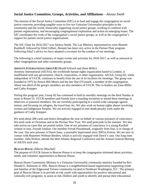#### **Social Justice Committee, Groups, Activities, and Affiliations**—*Alonzo Smith*

The mission of the Social Justice Committee (SJC) is to lead and engage the congregation on social justice concerns, providing tangible ways to live our Unitarian Universalist principles in the community and the world, financially supporting social justice groups, working in coalition with partner organizations, and encouraging congregational exploration and action on emerging issues. The SJC coordinates the work of the congregation's social justice groups, as well as the congregation's support for partner social justice organizations.

The SJC Chair for 2016-2017 was Alonzo Smith. The Lay Ministry representatives were Bennett Rushkoff, followed by Ethel Gilbert. Bennett has been very active in the Partner Plate program. Following Ethel's advice we have adopted a covenant for the conduct of our meetings.

The following is a brief summary of major events and activities for 2016-2017, as well as outreach to other congregations and other community groups.

#### *AMNESTY INTERNATIONAL GROUP 82 (Roald Schrack and Zana Miller)*

Amnesty International (AIUSA), the worldwide human rights organization based in London, is unaffiliated with any government, church, corporation, or other organization. AIUSA, Group 82, while independent of UUCR, continues to benefit from the use of its facilities for meetings. The group was founded in 1975 by Parson Bill Moors and the late Dan O'Connell, a member of the congregation. About one-third of the group's members are also members of UUCR. The co-leaders are Zana Miller and Cathy Knepper.

During this program year, Group 82 has continued to hold its monthly meetings on the third Sunday at noon in Room 53. UUCR members and friends have a standing invitation to attend these meetings as observers or potential members. We are currently participating in a world-wide campaign against torture, and focusing on refugees, the travel ban, etc. We also work on human rights abuses involving women and Indigenous Peoples. We are actively engaged in anti-death penalty work under the guidance of Cathy Knepper.

We send about 200 cards and letters throughout the year on behalf of various prisoners of conscience. We send cards at Christmas and at the Persian New Year. We send postcards in the summer. We also take action on cases that are posted online. One of our prisoners of conscience is a young Kurdish woman in Iran, Zeynab Jalalian. Our member Ferrah Pourahmadi, originally from Iran, is in charge of the case. Our new prisoner is Dawit Isaac, a journalist imprisoned since 2001in Eritrea. We are now in contact with Reporters Without Borders, which is actively engaged with Dawit's case. Our long-time member, John Welton, attends the Mid-Atlantic Regional Conference and the Annual General Meeting of AIUSA each year.

#### *BEACON HOUSE (Alberta Maschal)*

The purpose of UUCR liaison to Beacon House is to keep the congregation informed about activities, needs, and volunteer opportunities at Beacon House.

Beacon House Community Ministry is a Unitarian Universalist community ministry founded by Rev. Donald E. Robinson in 1991. Beacon House is a neighborhood-based organization supporting youth and families of the Edgewood Terrace community located in Northeast Washington, D.C. The primary goal of Beacon House is to provide at-risk youth with opportunities for positive educational and culturally-rich programs; to assist at-risk children and youth to identify and pursue their educational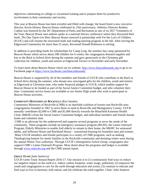objectives culminating in college or vocational training and to prepare them for productive involvement in their community and society.

This year at Beacon House has been eventful and filled with change; the board hired a new executive director, Kevin Hinton; Beacon House celebrated its 25th anniversary; Athletics Director Rodney Cephas was honored by the DC Department of Parks and Recreation as one of its 2017 Volunteers of the Year; Beacon House teen authors spoke at a national literary conference where they discussed their book, *The Day Tajon Got Shot*; Beacon House renewed it partnership with For the Love of Children (FLOC) and will resume the structured math and reading tutoring program in the fall. After serving the Edgewood Community for more than 25 years, Reverend Donald Robinson is retiring.

In addition to providing funds for scholarships for Camp Leap, the summer day camp sponsored by Beacon House which serves about 200 children for 6 weeks; the congregation donated supplies and kits to the Back to School drive during the summer and gave generously to the Christmas gift collection for children, youth and seniors at Edgewood Terrace in November and early December.

To learn more about Beacon House check out its website: [http://www.beaconhousedc.org](http://www.beaconhousedc.org/) or go to its Facebook page at [https://www.facebook.com/beaconhousedc.](https://www.facebook.com/beaconhousedc)

Beacon House is supported by all of the members and friends of UUCR who contribute to the Back to School drive during the summer, who donate new unwrapped gifts for the children, youth and seniors at Edgewood at Christmas time, who make financial pledges to UUCR, which enables support for Beacon House to be funded as part of the Social Justice Committee budget, and who volunteer their time. Community service hours are available to our Senior High youth who wish to participate in Beacon House activities.

#### *COMMUNITY MINISTRIES OF ROCKVILLE (Ken Sandin)*

Community Ministries of Rockville (CMR) is an interfaith coalition of twenty-one Rockville-area congregations founded in 1967 to serve those in need in Rockville and Montgomery County. UUCR annually contributes \$2,000 to CMR and \$1,000 directly towards the Mansfield Kaseman Health Clinic (MKHC) from the Social Justice Committee budget, and individual members and friends donate funds and volunteer time.

CMR is an advocate for the underserved and supports several programs to serve the needs of the community. These programs include an emergency assistance program (REAP), the Latino Outreach Program, Elderly Ministries to enable frail elderly to remain in their home, the MKHC for uninsured adults, and Jefferson House and Rockland House – transitional housing for homeless men and women. Many UUCR members and friends participate in a variety of CMR programs, such as making Thanksgiving baskets for needy families in the Rockville community and donating winter wear during the annual Mitten Tree collection. Through UUCR's Immigration Action Group, congregants also support CMR's Latino Outreach Program. More detail about the programs and budget is available through [www.cmrocks.org](http://www.cmrocks.org/) and the CMR annual report.

#### *GREEN TEAM (Julia Santerre)*

UUCR Green Team Annual Report 2016-17. Our mission is to (1) continuously find ways to reduce our negative impact on the earth (i.e. reduce carbon footprint, water usage, pollution); (2) empower the youth and congregation to care for the earth through education and action; (3) continue to educate and find ways to live in harmony with nature; and (4) celebrate the earth together. Chair: Julia Santerre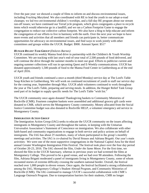Over the past year: we showed a couple of films to inform on and discuss environmental issues, including *Fracking Maryland*. We also coordinated with RE to lead the youth in our adopt-a-road cleanups; we led two environmental children's worships, and a full-day RE program about our stream run-off issues; we have continued our TerraCycle program, which gives congregants a place to recycle items which would otherwise go in a landfill; and we ran a Carbon Footprint Game to engage the congregation to reduce our collective carbon footprint. We also have a blog to help educate and inform the congregation of our efforts to live in harmony with the earth. Over the next year we hope to have more events and activities that all members and friends can participate in, better communicate opportunities for advocacy on environmental issues, and find ways to work jointly with other committees and groups within the UUCR. Budget: \$900. Amount Spent: \$517

#### *HUNGER RELIEF TASK GROUP (Dolores Barnes)*

UUCR continued its weekly Manna food drive in partnership with the Children's & Youth Worship Committee. We are tracking with last year's end-of-year total of 2,500 pounds of food delivered, and will continue the drive through the summer months to meet our goal. Efforts to publicize current and ongoing summer collections will run in upcoming Quest and E-Weekly communications. UUCR has donated approximately 1,500 pounds of food to the Manna Food Center in Gaithersburg as of the end of April 2016.

UUCR youth and friends continued a once-a-month (third Monday) service day at The Lord's Table Soup Kitchen in Gaithersburg. We will work on continued recruitment of youth to staff our service day for the coming year, September through May. UUCR adult volunteers continued to work throughout the year at The Lord's Table, preparing and serving meals. In addition, the Hunger Relief Task Group used part of its budget to supply specific needs for The Lord's Table "wish list."

The UUCR community once again donated Thanksgiving baskets to Community Ministries of Rockville (CMR). Fourteen complete baskets were assembled and additional grocery gift cards were donated to CMR, which serves the Montgomery County community. Money allocated from the Social Justice Committee budget was also donated to Rockville HELP, a volunteer emergency aid service in Montgomery County.

#### *IMMIGRATION ACTION GROUP*

The Immigration Action Group (IAG) seeks to educate the UUCR community on the issues affecting immigrants in Montgomery County and throughout the nation, in keeping with the Unitarian Universalist Association's Statement of Conscience on immigration. We also collaborate with other faith-based and community organizations to engage in both service and policy actions on behalf of immigrants. The IAG has about 25 members, many of whom participated in the group's monthly meetings and activities. The IAG is co-chaired by David Strauss and Adriana Brigatti. Our year's main activities: We were one of the most supportive congregations in the National Capitol Area for the third annual Greater Washington Immigration Film Festival. The festival took place over the four day period of October 20-23, 2016. The IAG showed the film, *Under the Same Moon*. For the first time, we showed the film in the UUCR Sanctuary, whereas in previous years we had screened the films at Montgomery College. This proved to be a good venue, and we had over 90 attendees. Following the film, Adriana Brigatti moderated a panel of immigrants living in Montgomery County, some of whom recounted stories of extreme difficulty crossing the southern national border. Overall, the festival reached over 1,000 people in eleven venues. Once again, the festival facilitated a strong collaboration among the IAG, Montgomery College's Student Abroad Program, and Community Ministries of Rockville (CMR). The IAG continued to manage UUCR's successful collaboration with CMR's Language Outreach Program. Due to transportation barriers for their students, CMR no longer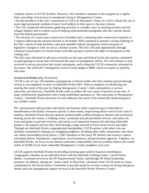conducts classes at UUCR facilities. However, IAG members volunteer in the program on a regular basis, providing vital services to immigrants living in Montgomery County.

• Several members of the IAG volunteered in CASA de Maryland's clinics in CASA's Rockville site to assist legal permanent residents (Green Card holders) in their quest to become citizens.

• The IAG conducted information gathering activities to consider ways of assisting recently-arrived refugee families and to explore ways of helping undocumented immigrants who face intense threats from the federal government.

• The election of a much more conservative President and a continuing ultra conservative majority in Congress following the national election in November 2016 continued to present a strong challenge to the IAG's desire to help facilitate a just and equitable federal immigration reform program of legislative changes to what we see as a broken system. The IAG will seek opportunities through Unitarian Universalists for Social Justice and other groups to protect the rights of immigrants in the coming year.

The IAG stays informed of advocacy activities on the state and federal levels and remains committed to participating in actions that will forward the cause of immigration reform. We will continue to stay involved in service provision that assists immigrants, and to keep the UUCR community informed on the issues. The 2016-2017 Immigration Action Group budget is \$800, which we expect to spend by mid-June.

#### *INTERFAITH WORKS (Kay Newhouse)*

UUCR is one of over 165 member congregations of diverse faiths who find common ground through service to our neighbors in need via Interfaith Works (IW). With an emphasis on identifying and meeting the needs of the poor by linking Montgomery County's faith communities in service, education, and advocacy, Interfaith Works seeks to reduce the root causes of poverty in our area. A large, multifaceted organization with a long-established reputation as "the conscience of Montgomery County," Interfaith Works advocates for and addresses the needs of the financially disadvantaged in our wealthy county.

IW's professional staff provides individuals and families either experiencing or vulnerable to homelessness with holistic resources specific to their needs, empowering them to move from crisis to stability. Interfaith Works directly operates professionally-staffed emergency shelters and transitional housing across the county, a clothing center, vocational and job placement services, and safety net loans and grants to prevent evictions, and serves as an important resource for referring vulnerable people to the support services they need through a large network of local social service providers. Through our Interfaith Works congregational membership, UUCR partners with others who are similarly committed to helping our struggling neighbors, including other faith communities who share our values surrounding social justice, 5,200 volunteers at the many IW shelters and resource centers, individual donors, foundations, corporations, local businesses, and government agencies. Together, via Interfaith Works, we focus on our shared community responsibility and successfully address the varied needs of 20,000 of our most vulnerable Montgomery County neighbors each year.

UUCR supports Interfaith Works by providing meeting space and by financial contributions. Congregants volunteer on an individual basis with the Interfaith Clothing Center, Carroll House shelter, vocational services at the IW Empowerment Center, and through IW Board leadership positions. In addition, during our "meals week" in May/June, volunteers from UUCR work as a team coordinated by the Social Justice Committee to provide meals for seventy women receiving emergency shelter and case management support services at the Interfaith Works Women's Center.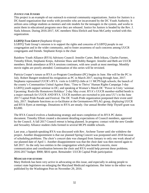#### *JUSTICE FOR JUNIORS*

This project is an example of our outreach to external community organizations. Justice for Juniors is a DC-based organization that works with juveniles who are incarcerated by the DC Youth Authority. It utilizes area college students as mentors and role models for the teenagers in the system, and works to assist them in educational programs once they are released. Justice for Juniors is headed by the Rev. J. Siafa Johnson. During 2016-2017, SJC members Shira Ehrlich and Sean McCarthy worked with this organization.

#### *LGBTQ TASK GROUP (Stephanie Kreps)*

LGBTQ Task Group's mission is to support the rights and concerns of LGBTQ people in our congregation and in the wider community, and to foster awareness of such concerns among UUCR congregants and friends. Stephanie Kreps is the chair

Rainbow Youth Alliance (RYA) Advisory Council: Jennifer Carter, Beth Irikura, Charles Farmer, Timothy Elliott, Stephanie Kreps, Adrienne Shaw and Bobby Bangert. Jennifer and Beth are UUCR members. Brisk attendance at RYA sessions continues, with new youth at most meetings. Monthly movie nights are poorly attended. Continuation of this series will be revisited.

Patricia Cooper's tenure as RYA co-Program Coordinator (PC) begins in June. She will be the PC in July. Robert Bangert tendered his resignation as PC in March 2017, staying through June, 2017. Stephanie represented UUCR's RYA: visits to LGBTQ clubs at 11 MCPS high schools; the launch of the county's Communities United Against Hate; 'Time to Thrive' Human Rights Campaign 3-day LGBTQ youth support seminar in DC; and speaking at Women's March DC 'Power in Unity 'seminar. Upcoming: Rockville Hometown Holidays' 2-day May event. RYA's UUCR member-staffed booth is a major outreach for UUCR AND RYA. UUCR members are recruited to join area UU's in the June 2017 Capital Pride Parade and Festival. The DC Youth Pride organization postponed their event until July, 2017. Stephanie functions as co-facilitator at the Germantown PFLAG group, displaying UUCR and RYA flyers at meetings. Donations to RYA are steady. Our annual Brother Help Thyself grant was \$3,000.

The RYA Council evolves a fundraising strategy and nears completion of its RYA PC duties document. Timothy Elliott created a document detailing expectations of Council members, approved by the Council. A fall 2017 Council retreat is being planned. In progress: contact with the new Gender and Sexuality Alliance student clubs formed in several MCPS middle schools.

Last year, a Spanish-speaking RYA was discussed with Rev. Archene Turner until she withdrew the project. Another disappointment is that our planned Spring Concert was postponed until 2018 because of scheduling problems. The choir's concert date was changed from January to only one week ahead of our planned date of April 1. Another disappointment was that the choir date was then moved again to fall 2017. As the only two entities in the congregation which plan benefit concerts, more communication and coordination between the choir and RYA would help prevent these problems. 2016-2017 budget: \$900; \$816 spent. Remainder: UUCR Capital Pride participation

#### *MEDICAID FOR SENIORS*

Mary Hoferek has been very active in advocating on this issue, and especially in asking people to contact state legislators on enlarging the Maryland Medicaid regulations. Her letter to the editor was published by the Washington Post on November 29, 2016.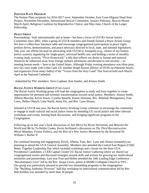#### *PARTNER PLATE PROGRAM*

The Partner Plate recipients for 2016-2017 were; September-October, East Coast Migrant Head Start Project; November-December, International Rescue Committee; January-February, Beacon House; March-April, Religious Coalition for Reproductive Choice; and May-June, Church of the Larger Fellowship.

#### *PEACE GROUP*

Peacemaking - both internationally and at home - has been a focus of UUCR's Social Justice Committee since 2002, when a group of UUCR members and friends formed a Peace Action Group. We host a coffee-hour literature table and encourage congregational participation in peace vigils, petition drives, demonstrations, and peace advocacy directed to local, state, and national legislatures. This year, our efforts focused on advocating with UULM in Annapolis (e.g., reform of our broken justice system); organizing for single-payer, universal health care; and holding a series of monthly evening study sessions, "Pivot Homeward," a title that reflects our desire to human and material resources be redirected away from foreign military adventures and devoted to real security -- to meeting human needs -- here in the United States. Although Friday evening attendance was often poor, new ties were made with Cedar Lane UU member Ralph Krause (library of DVDs on Palestine-Israel) and organizers (from many faiths) of the "Voices from the Holy Land" film festival held each March-April at the National Cathedral.

–Submitted by PSG members: Steve Lapham, Ken Sandin, and Alonzo Smith

#### *RACIAL JUSTICE WORKING GROUP (Fran Lowe)*

The Racial Justice Working group will lead the congregation to study and learn together to create opportunities for personal and systemic transformation toward racial justice. Members: Alonzo Smith, Alberta Maschal, Kevin Power, Cynthia Bauerle, Karim Alzouma, Rev. Rebekah Montgomery, Fran Lowe, Hellen Oketch, Luke Smith, Jenny Fei, and Rev. Lynn Strauss.

Initiated at UUCR last year, the Racial Justice Working Group continues to encourage the community to engage in multi-cultural and racial justice issues by attending UU racial justice and other relevant workshops and events, hosting book discussions, and bringing significant programs to the Congregation.

Following up on last year's book discussions of *Just Mercy* by Bryan Stevenson, and *Between the World and Me* by Ta-Nehisi Coates, Kevin facilitated a discussion on *The Third Reconstruction: Moral Mondays, Fusion Politics, and the Rise of a New Justice Movement* by the Reverend Dr. William J. Barber II.

For continual learning and engagement, Kevin, Alberta, Fran, Rev. Lynn and Alonzo (remotely) are planning to attend the UUA General Assembly. Members also attended the Central East Region (CER) Better Together Leadership Day which included workshops and a forum for the three UUA Presidential Candidates; a CER Capital Cluster UU Racial Justice Gathering where we shared our congregational stories and discussed strategies around skills and actions for growing our multicultural ministries and partnerships. Last year Fran and Hellen attended the 10th Leading Edge Conference "Revolutionary Love" led by the Rev. Jacqui Lewis, pastor at Middle Collegiate Church in NYC. Our group was particularly pleased to provide two outstanding programs to the congregation: The "Building Authentic Diversity" half-day workshop on intercultural communication led by Rev. Rob Keithan was attended by more than 30 people.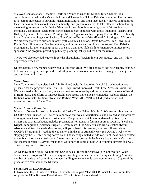"Beloved Conversations, Teaching Hearts and Minds to Open for Multicultural Change", is a curriculum provided by the Meadville Lombard Theological School Fahs Collaborative. The purpose is to learn to live better in our multi-racial, multicultural, and often theologically diverse communities, locate our assumptions about race and ethnicity, and prepare ourselves to take effective action. During the opening retreat led by Dr. Jenice View, we formed into three small groups of 10 people each, including 2 facilitators. Each group participated in eight seminars with topics including Racial/Ethnic History, Dynamic of Racism and Privilege, Micro-Aggressions, Interrupting Racism, Race & Ethnicity in our Community, Legacy of Racism, How Can We Be-in-the-World? And Collecting our Wisdom. We are very grateful to our facilitators: Cynthia Shires-Thurston, Dayna Edwards, Fran Lowe, Lisa Fredin, Sharrill Dittmann, Stephanie Kreps, and our ministers Rev. Lynn Strauss and Rev. Rebekah Montgomery for their ongoing support. We also thank the Adult Faith Formation Committee for cosponsoring the program, providing publicity, planning, set-up and food for the retreat.

The RJWG also provided leadership for the discussions, "Racism in our UU House," and the "White Supremacy Teach-in".

Unfortunately, a few members have had to leave the group. We are hoping to add new people, continue to bring new programs and provide leadership to encourage our community to engage in racial justice and multi-cultural issues.

#### *SANTE TOTAL*

Sante Total means "complete health" in Haitian Creole. On Saturday, March 25 a celebration was presented for the program Sante Total: One-Step toward Improved Health Care Access in Rural Haiti. We celebrated with Haitian food, music and stories, followed by a short program on the state of health in Haiti today, and efforts to improve health care access there. Speakers included; Gabriel Thelus, the Haitian Coordinator for Sante Total, and Barbara Weis, MD, MPH and TM, pediatrician, and executive director of Sante Total.

#### *SOCIAL JUSTICE TOWN HALL*

More than 50 people took part in the Social Justice Town Hall on March 12. We learned about current UUCR's Social Justice (SJC) activities and ways that we could participate, and also had an opportunity to suggest new ideas for future consideration. The program, which was moderated by Rev. Lynn Strauss and Jack Eisenhauer, included presentations on issues in four major areas: LGBTQ (Stephanie Kreps), Immigration (Adrianna Brigatti), Green Team (Julia Santerre), and Racial Justice (Karim Alzouma and Rev. Rebekah Montgomery). If you missed this meeting, you can still learn about UUCR's SJ program by reading the SJ material in the 2016 Annual Report (on UUCR's website) or stopping by the SJ Table during coffee hour. The meeting elicited a wide variety of ideas, many related to the four major areas noted above. Interest was also expressed in healthcare issues, women's issues, and income inequality. Several mentioned working with other groups with common interests as a way of increasing our effectiveness.

As we move to the future, we note that UUCR has a Process for Approval of Congregation–Wide Social Justice Programs. The process requires meeting several criteria including identifying "a suitable number of leaders and committed members willing to make a multi-year commitment." Copies of the process were available at the SJ Table.

#### *STATEMENT ON THANKSGIVING*

In November the SJC issued a statement, which read in part: "The UUCR Social Justice Committee supports the UUA Business Resolution on 'Thanksgiving Reconsidered,' at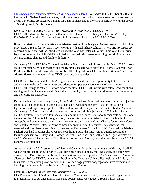[http://www.uua.org/statements/thanksgiving-day-reconsidered.](http://www.uua.org/statements/thanksgiving-day-reconsidered)" We added to this the thoughts that, in keeping with Native American values, food is not just a commodity to be marketed and consumed but a vital part of life, produced by humans for other humans, and that we are in solidarity with the people of Standing Rock, North Dakota.

#### *UNITARIAN UNIVERSALIST LEGISLATIVE MINISTRY OF MARYLAND (UULM-MD)*

UULM-MD advocates for legislation that reflects UU values in the Maryland General Assembly. For 2016-2017, Andrea Hall and Alonzo Smith were members of the UULM-MD Board.

Before the start of each year's 90-day legislative session of the Maryland General Assembly, UULM-MD selects three or four priority issues, working with established coalitions. These priority issues are centered on bills that will be introduced during the year that foster UU values. This year, the priority legislation selected by UULM-MD included bills for paid sick leave, reforming the criminal justice system, climate change, and death with dignity.

On January 28 the UULM-MD annual Legislative Kickoff was held in Annapolis. Over 150 UUs from around the state were in attendance and the featured speakers were Maryland Attorney General Brian Frosh, and Kathleen McTigue, director of the UU College of Social Justice. In addition to Andrea and Alonzo, five other members of the UUCR congregation attended.

UUCR's involvement with UULM-MD gives members and friends an opportunity to take their faith and values into the wider community and advocate for positive change in Maryland. The work of UULM-MD brings together UUs from across the state. UULM-MD works with established coalitions, and it gives UUCR members and friends the opportunity to work with other diverse faith communities and nonprofit organizations.

During the legislative session (January 11 to April 10), Alonzo informed members of the social justice committee about opportunities to contact their state legislators to express support for our priority legislation, and urged congregants to call, email, or visit their legislators, and he testified in Annapolis. On January 15, Alonzo and Andrea organized a forum on criminal justice at UUCR, with a focus on bail bond reform. There were four speakers in addition to Alonzo: Liz Bobo, former state delegate and member of the Columbia UU congregation; Eleanor Piez, intern minister for the UU Church of Annapolis and UULM-MD; Candy Clark, UU activist with the Maryland Alliance for Justice Reform, and Jonathan Wesley Hutto, longtime community organizer in PG County. The event was wellattended and stimulated a very lively conversation. On January 28 the UULM-MD annual Legislative Kickoff was held in Annapolis. Over 150 UUs from around the state were in attendance and the featured speakers were Maryland Attorney General Brian Frosh, and Kathleen McTigue, director of the UU College of Social Justice. In addition to Andrea and Alonzo, five other members of the UUCR congregation attended.

At the close of the 2017 session of the Maryland General Assembly at midnight on Monday, April 10, we can report that all of our priority issues have been acted upon by the Legislature, and some have also received Executive action. Most of these actions have been positive. The Social Justice Committee allocated \$300 for UUCR's annual membership in the Unitarian Universalist Legislative Ministry of Maryland. In the coming year, we would like to encourage greater congregational involvement, as well building coalitions with organizations in Montgomery County.

#### *UNITARIAN UNIVERSALIST SERVICE COMMITTEE (Ken Sandin)*

UUCR supports the Unitarian Universalist Service Committee (UUSC), a membership organization founded in 1941 to advance human rights and social justice worldwide, through a \$100 annual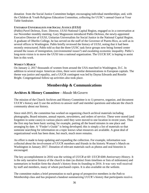donation from the Social Justice Committee budget; encouraging individual memberships; and, with the Children & Youth Religious Education Committee, collecting for UUSC's annual Guest at Your Table fundraiser.

#### *UNITARIAN UNIVERSALISTS FOR SOCIAL JUSTICE (UUSJ)*

(Pablo) Pavel DeJesus, Exec. Director, UUSJ-National Capital Region, engaged us in a conversation at our November monthly meeting. Gary Magnusson introduced Pablo DeJesus, the newly-appointed Executive Director of UUSJ, Unitarian Universalists for Social Justice in the National Capital Region. A graduate of Oberlin College, he has served on the staff of the Governor of Puerto Rico, as well as in several offices in Washington. Pablo briefly reviewed the history of UUSJ, noting that it had been recently restructured. Pablo told us that the three UUSC task force groups now being formed center around the issues of immigration, (environmental issues?) and escalating economic inequality. Pablo's long-term vision is to move the UUSJ into a national organization. The UUCR SJC is hoping to assist him in this work.

#### *WOMEN'S MARCH*

On January 2, 2017 thousands of women from around the USA marched in Washington, D.C. In addition to several major American cities, there were similar demonstrations in European capitals. The theme was justice and equality, and a UUCR contingent was led by Dayna Edwards and Roselie Bright. Congregational follow-up activities also took place.

# **Membership & Communications**

#### **Archives & History Committee**—*Maude McGovern*

The mission of the Church Archives and History Committee is to 1) preserve, organize, and document UUCR's history and 2) use the archives to answer staff and member questions and educate the church community about our history.

Since mid-2015, the committee has worked on organizing church archival materials including photographs, Board minutes, annual reports, newsletters, and orders of service. These were stored (and forgotten in some cases) in various places until they were moved to one location in recent years. Thus the first step has been basic sorting; for example, putting all the board minutes in one place and arranging by date. A "Finder's Guide" is being developed; this is simply a list of materials so that someone searching for information on a topic knows what resources are available. A great deal of organizational work has been done, but much, much more remains.

An effort is made to keep updating and expanding the collection. For example, information was collected about the involvement of UUCR members and friends in the historic Women's March on Washington in January 2017. Donation of relevant materials such as photos and oral histories is encouraged.

The key accomplishment in 2016 was the writing of *UUCR at 60: UUCR 60th Anniversary History*. It is the only narrative history of the church to date (as distinct from timelines or lists of milestones) and summarizes in booklet form the church's history from its founding to 2016. It was very well received by staff and members, many of whom purchased copies. It is also available on the website.

The committee makes a brief presentation to each group of prospective members in the Path to Membership class and has prepared a handout summarizing UUCR's history that participants receive.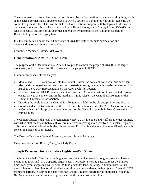The committee also researches questions on church history from staff and members asking things such as the dates a former music director served to when a section of parking lot was put in. Recently the committee provided facilitators of the Beloved Conversations program with background information on race relations and civil rights activity in Rockville and Montgomery County in the 1950s-60s, as well as specifics on some of the activities undertaken by members of the Unitarian Church of Rockville to promote desegregation.

It is the committee's belief that a knowledge of UUCR's history deepens appreciation and understanding of our church community.

Committee Member—Maude McGovern

#### **Denominational Affairs**—*Eric Burch*

The purpose of the Denominational Affairs Group is to connect the people of UUCR to the larger UU movement, and to connect the UU movement to the people of UUCR.

Major accomplishments for the year:

- Maintained UUCR's connection into the Capital Cluster, the dozen-or-so District and suburban Maryland congregations near us, attending quarterly meetings and monthly web conferences. Eric Burch is the UUCR Representative on the Capital Cluster Council.
- Notified interested UUCR members and the Director of Communications of new Capital Cluster events, as well as some events in the Norther Virginia Cluster, the Central East Region, or the Unitarian Universalist Association.
- Tracking the evolution of the Central East Region as it folds in the old Joseph Priestley District.
- Coordinated after-GA activities of the UUCR members who attended the 2016 General Assembly in Columbus, and also preparing our delegates for the General Assembly in New Orleans this coming June.

The Capital Cluster is the level of organization where UUCR members and staff can interact routinely with UUA staff on new initiatives. If you are interested in getting more involved in Cluster, Regional, or National denominational activities, please contact Eric Burch and you will receive UU-wide emails concerning areas of your interest.

The Board offers some General Assembly support through its budget.

Group members: Eric Burch (Chair), and Judy Rayner

#### **Joseph Priestley District Chalice Lighters**—*Ken Sandin*

"Lighting the Chalice" refers to funding grants to Unitarian Universalist congregations that have an intention to grow and have a specific urgent need. The Joseph Priestley District issues a call three times each year, suggesting \$30 per call, to fund grants for land, buildings, a first minister, a first music director, a first director of religious education, and innovative growth proposals. Several UUCR members participate. During the past year, the Chalice Lighters program was publicized with an *E-Weekly* article and an information/sign-up sheet at the annual Activities Fair.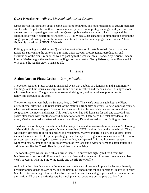#### *Quest* **Newsletter**—*Alberta Maschal and Adrian Graham*

*Quest* provides information about people, activities, programs, and major decisions to UUCR members and friends. It's published in three formats: mailed paper version, postage-saving email (in color), and the web version appearing on our website. *Quest* is published once a month. This change and the addition of a weekly electronic newsletter, UUCR E-Weekly, has enhanced communication among the congregation, allowing for timely announcements and reminders of congregation activities. Adrian Graham is the editor of UUCR E-Weekly.

Editing, producing, and delivering *Quest* is the work of teams: Alberta Maschal, Beth Irikura, and Elizabeth Sullivan are the editors on a rotating basis. Layout, proofreading, reproduction, and distribution of the email version, as well as posting to the website, are all handled by Adrian Graham. Louise Friedenberg is the Wednesday mailing crew coordinator. Nancy Grissom, Gwen Rowe and Jo Wilson are the regular crew. Thanks to all.

## **Finance**

#### **Action Auction Fiesta Cruise**—*Carolyn Randall*

The Action Auction Fiesta Cruise is an annual event that doubles as a fundraiser and a community building event. Our focus, as always, was to include all members and friends, as well as any visitors who were interested. The goal was to make fundraising fun, and to provide opportunities for fellowship throughout the year.

The Action Auction was held on Saturday May 6, 2017. This year's auction again kept the Fiesta Cruise theme, allowing us to reuse much of the materials from previous years. A new logo was created, which we will reuse next year. Donation items were solicited from outside businesses, as well as congregation members and friends. This year's auction had 165 items up for bid, and exceeded last year's attendance with (another) record number of attendees. There were 147 total attendees at the event, 25 of whom had not attended before. In addition, 15 families had proxies bidding for them.

The donations for this year's auction included many ethnic and innovative dinners, such as An Evening of Gemütlichkeit, and a Progressive Dinner where five UUCR families live on the same block. There were many gift cards to local businesses and restaurants. Many wonderful bakery and gourmet items included scones, carrot cake, plum pudding, peach chutney, UUCR granola, to name a few. There were services, such as tie-dying dish towels, tree trimming, hand-picked fruit, and home tech support; wonderful entertainment, including an afternoon of live jazz and a winter afternoon coffeehouse; and old favorites like the Classic Hen Party and Family Game Night.

The food this year was in line with our cruise theme – a buffet that highlighted food from two Mediterranean ports of call, France and Lebanon. Beer and wine were sold as well. We repeated last year's successes with the Fine Wine Raffle and the Big Beer Raffle.

Action Auction planning starts in December, and the leadership team is in place by January. In early February online donations are open, and the first pulpit announcement and donations kickoff is in early March. Ticket sales begin four weeks before the auction, and the catalog is produced two weeks before the auction. All of these activities require much planning, coordination and participation from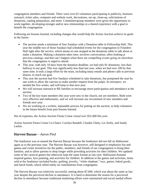congregation members and friends. There were over 65 volunteers participating in publicity, business outreach, ticket sales, computer and website work, decorations, set-up, clean-up, solicitations of donations, catalog preparation, and more. Committee/group members were given the opportunity to work together, developing stronger and/or new relationships in a shared experience with a goal to benefit the congregation.

Following are lessons learned, including changes that would help the Action Auction achieve its goals in the future:

- The auction needs a minimum of four Sundays with a Donation table in Fellowship Hall. This year the middle two of those Sundays had scheduled events for the congregation in Founders Hall right after the service, which meant no one stopped at the donations table to talk about or make a donation. Making a donation takes time, involves conversation, often looking at previous catalogs, and that can't happen when there are compelling events going on elsewhere that the congregation is urged to attend.
- This year, with only 10 days from the donation deadline, we had only 81 donations, less than halfway to our goal. This was significantly less than last year, when we had over 100 by that same time. It took a large effort by the team, including many emails and phone calls to previous donors, to reach our goal.
- This year the auction had five Sundays scheduled to take donations, but postponed the start by one week to allow the canvass to make another request from the pulpit. In retrospect, we needed the five weeks, and will keep to that next year.
- We will increase outreach to RE families to encourage more participation and attendance at the auction.
- Two of the key team members this year were new to the church, not yet members. Both were very effective and enthusiastic, and we will increase our recruitment of new members and friends next year.
- We are working on a written, repeatable process for putting on the auction, to help volunteers in the future benefit from past lessons learned.

Net of expenses, the Action Auction Fiesta Cruise *raised over \$31,000 this year.*

Action Auction Fiesta Cruise Co-Chairs: Carolyn Randall, Claudia Chitty, Liz Zerby, and Sandy Larkin

## **Harvest Bazaar**—*Aaron Pied*

The fundraiser was re-named the Harvest Bazaar because the fundraiser did not fall on Halloween again as in the previous year. The Harvest Bazaar was however, still designed to emphasize fun and games and create incentives for the public, members, and friends of our congregation to bring their families, and to allow parents to shop longer while providing activities for their children. We updated some of the carnival games but otherwise kept the same format as last year: Halloween/Autumn inspired games, face painting, and activities for children. In addition to the games and activities, items sold at the fundraiser included books, quilting, jewelry, "white elephant," toys, games, baked goods, and lunch foods, which relied solely on contributions from congregants.

The Harvest Bazaar was relatively successful, netting about \$7,600, which was about the same as last year despite the perceived decline in attendance. It is hard to determine the reason for a perceived decline in attendance because traditional marketing efforts were maintained and social medial efforts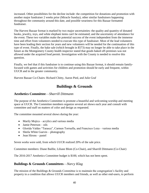increased. Other possibilities for the decline include: the competition for donations and promotion with another major fundraiser 2 weeks prior (Miracle Sunday), other similar fundraisers happening throughout the community around this date, and possible weariness for this Bazaar formatted fundraiser.

The Harvest Bazaar format is marked by two major uncertainties: the quality and quantity of donated books, jewelry, toys, and white elephant items can't be estimated; and the uncertainty of attendance for the event. These two variables make the potential success of the event independent from the immense time and effort from volunteers needed to execute this type of fundraiser. Most of the lead volunteers have been leading their section for years and new volunteers will be needed for the continuation of this type of event. Finally, the bake sale (which brought in \$573) may no longer be able to take place in the future as the Montgomery County health inspector stated that goods baked off-premises was not allowed under the acquired food permit. Investigation with the County is needed to resolve this question.

Finally, we feel that if this fundraiser is to continue using this Bazaar format, it should remain familyfocused with games and activities for children and promotion should be early and frequent, within UUCR and in the greater community.

Harvest Bazaar Co-Chairs: Richard Chitty, Aaron Pied, and Julie Graf

# **Buildings & Grounds**

#### **Aesthetics Committee**—*Sharrill Dittmann*

The purpose of the Aesthetics Committee is promote a beautiful and welcoming worship and meeting space at UUCR. The Committee members organize several art shows each year and consult with committee and staff on matters of color and design as requested.

The committee mounted several shows during the year:

- Marily Mojica acrylics and various media
- Jamie Peterson oils
- Glorida Valdes "Tarasca", Carmen Torruella, and Francisco Loza various media
- Sheila White Guevin photography
- Jean Hirons pastel

Seven works were sold, from which UUCR realized 20% of the sale price.

Committee members: Diane Baillie, Liliane Blom (Co-Chair), and Sharrill Dittmann (Co-Chair)

The 2016-2017 Aesthetics Committee budget is \$100, which has not been spent.

#### **Buildings & Grounds Committees**—*Narcy Klag*

The mission of the Buildings & Grounds Committee is to maintain the congregation's facility and property in a condition that allows UUCR members and friends, as well as other end-users, to perform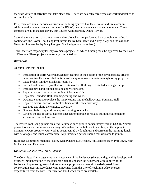the wide variety of activities that take place here. There are basically three types of work undertaken to accomplish this:

First, there are annual service contracts for building systems like the elevator and fire alarm, in addition to the regular service contracts for HVAC, lawn maintenance, and snow removal. These contracts are all managed ably by our Church Administrator, Donna Taylor.

Second, there are normal maintenance and repairs which are performed by a combination of staff, contractors, the Power Tool Gang (volunteers led by Dan Pierce and Narcy Klag) and the Grounds Group (volunteers led by Mary Lanigan, Sue Hedges, and Jo Wilson).

Third, there are major capital improvements projects, of which funding must be approved by the Board of Directors. These projects are usually contracted out.

#### *BUILDINGS*

Accomplishments include:

- Installation of storm water management features at the bottom of the paved parking area to better control the runoff that, in times of heavy rain, over-saturates a neighboring property.
- Fixed broken window cranks in Room 44.
- Patched and painted drywall at top of stairwell in Building 5. Installed a new gate stop.
- Installed new handicapped parking and visitor signs.
- Repaired major cracks in the ceiling of Founders Hall.
- Repainted Founders Hall including ceiling and walls.
- Obtained contract to replace the ramp leading into the hallway near Founders Hall.
- Repaired several sections of broken fence off the back driveway.
- Repaired ties along the entrance driveway.
- Obtained bids to repair driveway and parking lot cracks.
- Revised the list of capital expenses needed to upgrade or replace building equipment or structures over the long term.

The Power Tool Gang gathers on a few Saturdays each year to do necessary work at UUCR. Neither power tools nor experience is necessary. We gather for the fellowship and fun, while helping to maintain UUCR property. Our work is accompanied by doughnuts and coffee in the morning, lunch with beverages, and much camaraderie. Any interested person should feel welcome to join in.

Buildings Committee members: Narcy Klag (Chair), Sue Hedges, Jon Landenburger, Phil Lowe, John McIlwaine, and Dan Pierce.

#### *GROUNDS/LANDSCAPING (Mary Lanigan)*

The Committee 1) manages routine maintenance of the landscape (the grounds); and 2) develops and oversees implementation of the landscape plan to enhance the beauty and accessibility of the landscape, implement green solutions where appropriate, and sustain the designated forest conservation areas in accordance with guidelines from the City of Rockville. Also oversees expenditures from the Site Beautification Fund when funds are available.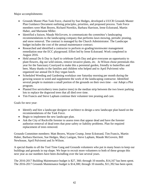Major accomplishments:

- Grounds Master Plan Task Force, chaired by Sue Hedges, developed a UUCR Grounds Master Plan Guidance Document outlining principles, priorities, and proposed process. Task Force members were Matt Beyers, Richard Noreikis, Barbara Harrison, Irene Eckstrand, Martin Haber, and Marianne Miller.
- Identified a liaison, Maude McGovern, to communicate the committee's landscaping recommendations to the landscaping company that performs lawn mowing, periodic pruning, and snow removal. The contract is managed by the Church Administrator. The Landscape budget includes the cost of the annual maintenance contract.
- Researched and identified a contractor to perform re-grading/stormwater management remediation near the ECC playground. Effort led by Irene Eckstrand. Work completed in August 2016.
- Held annual Do It Day in April to celebrate Earth Day and give everyone an opportunity to plant flowers, dig out wild onions, remove invasive plants, etc. Jo Wilson chose perennials this year for the Sanctuary Courtyard to make this a perennial garden, friendly to butterflies and bees. Many thanks to the families and children who helped and to April Pulvirenti who organized our annual Do It Day vegan lunch.
- Scheduled Weeding and Gardening workdays one Saturday morning per month during the growing season to weed and supplement the work of the landscaping contractor. Identified several people to maintain a small portion of the grounds on their own time – our Adopt a Plot program.
- Planted five serviceberry trees (native trees) in the median strip between the two lower parking lots to replace the dogwood trees that all died over time.
- Tim Francis and Steve Lapham continue their volunteer tree pruning and care.

Goals for next year:

- Identify and hire a landscape designer or architect to design a new landscape plan based on the recommendations of the Task Force.
- Begin to implement the new landscape plan.
- Ask the City of Rockville forester to assess trees that appear dead and have the forester authorize removal of dead trees that pose safety or liability problems. Plan for required replacement of trees removed.

Grounds Committee members: Matt Beyers, Wayne Crump, Irene Eckstrand, Tim Francis, Martin Haber, Barbara Harrison, Sue Hedges, Mary Lanigan, Steve Lapham, Maude McGovern, Bill Newhouse, April Pulvirenti and Jo Wilson.

A special thanks to all the Tool Time Gang and Grounds volunteers who put in many hours to keep our buildings and grounds in top shape. We hope to recruit more volunteers to both of these groups this next year as our numbers have been dwindling over the last several years.

The 2016-2017 Building Maintenance budget is \$27, 360; through 10 months, \$14,167 has been spent. The 2016-2017 Grounds Maintenance budget is \$14,300; through 10 months, \$11,392 has been spent.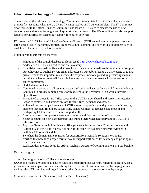#### **Information Technology Committee**—*Bill Newhouse*

The mission of the Information Technology Committee is to maintain UUCR office IT systems and provide first response when the UUCR staff cannot resolve an IT system problem. The IT Committee also works with the office, Finance Committee, and Board of Trustees to discuss the use of new technologies and to plan for upgrades of systems when necessary. The IT Committee can also support requests for information technology support for church activities.

IT systems at UUCR include Voice-Over-Internet-Protocol (VOIP) telephones, computers, projectors, large screen HDTV, facsimile, printers, scanners, a mobile phone, and networking equipment such as switches, cable modems, and WiFi routers.

Major accomplishments for the year:

- Migration of the church database to cloud-based [https://www.churchdb.com/uucr.](https://www.churchdb.com/uucr)
- Added a 50" HDTV on a cart to our AV inventory.
- Established new mailing lists and aliases for all the churches email needs continuing to support our policy not to publish private email addresses on our public facing UUCR website or to use private emails for important roles where the corporate memory gained by preserving emails is best done by having an email for a role like the chair of a committee such as canvass or a search committee.
- Updated mailing lists.
- Continued to ensure that all systems are patched with the latest software and firmware releases.
- Continued to provide remote access for treasurers to the Treasurer PC on which they run QuickBooks.
- Maintained backups for staff files saved to the UUCR server shared and personal directories.
- Began to explore cloud storage options for staff files (personal and shared).
- Achieved the desired performance of VOIP system, improving sound quality and eliminating phantom incessant ringing by successfully tasked Comcast to replace cable modem and configuring UUCR routers to better support VOIP.
- Ensured that staff computers were set up properly and functional after office moves.
- Set up accounts for new staff members and trained them when necessary about UUCR's IT infrastructure.
- Replaced Ethernet switch in finance office (this switch connects our Comcast modem with Building 4, so it is a vital piece). It is now of the same type as other Ethernet switches in Building 4 Rooms 45 and 42.
- Switched the domain name registrar for uucr.org from Network Solutions to Google.
- Verified that new Ricoh copier/printer would support staff needs for scanning and printing just like its predecessor.
- Replaced dual monitor setup for Adrian Graham, Director of Communications & Membership.

Next year's goals:

• Full migration of staff files to cloud storage.

UUCR IT systems are vital to all church functions, supporting our worship, religious education, social justice and fellowship activities, and enabling the UUCR staff to communicate with congregants as well as other UU churches and organizations, other faith groups and other community groups.

Committee member: Bill Newhouse, and Eric Burch (database)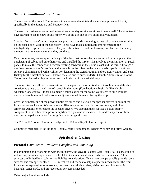#### **Sound Committee**—*Mike Holmes*

The mission of the Sound Committee is to enhance and maintain the sound equipment at UUCR, specifically in the Sanctuary and Founders Hall.

The use of a designated sound volunteer at each Sunday service continues to work well. The volunteers have learned to use the new sound mixer. We could use one or two additional volunteers.

Shortly after last year's annual report was prepared, sound-dampening acoustical panels were installed on the raised back wall of the Sanctuary. These have made a noticeable improvement to the intelligibility of speech in the room. They are also attractive and unobtrusive, and I'm sure that many members are not even aware that they are there.

Over the summer, we accepted delivery of the desk that houses the new sound mixer, completed the purchasing of cables and other hardware and installed the mixer. This involved the installation of patch panels to make the connection between existing hardware in the sound closet and the mixer, through a multi-connector audio "snake" cable that runs from the mixer to the patch panels. Special thanks to Jeremy Schuhmann and Mike Holmes for designing the signal routing, and to Jeremy, Mike, and Sean Hickey for the installation work. Thanks are also due to our wonderful Church Administrator, Donna Taylor, who helped with purchasing and the logistics of the desk delivery.

The new mixer has allowed us to customize the equalization of individual microphones, and this has contributed greatly to the clarity of speech in the room. (Equalization is basically like a highly adjustable tone control.) It has also made it much easier for the sound volunteers to quickly mute unused microphones and make volume adjustments while seated facing the pulpit.

Over the summer, one of the power amplifiers failed and blew out the speaker drivers in both of the front speaker enclosures. We sent the amplifier away to the manufacturer for repair, and hired American Amplifier to replace the speaker drivers. We also had them replace a power supply component in the other main power amplifier as a preventive measure. The added expense of these unexpected repairs accounts for our going over budget this year.

The 2016-2017 Sound Committee budget is \$1,160, and \$2,790 has been spent.

Committee members: Mike Holmes (Chair), Jeremy Schuhmann, Dennis Wellnitz and Steve Greene.

# **Spiritual & Caring**

#### **Pastoral Care Team**—*Paulette Campbell and Jane Klag*

In conjunction and cooperation with the ministers, the UUCR Pastoral Care Team (PCT), consisting of volunteers, provides support services for UUCR members and friends who need assistance. These services are limited by capability and liability considerations. Team members personally provide some services and arrange for other UUCR members and friends to help as specific needs occur. The team furnishes transportation, runs errands, delivers meals during crises, visits people at home and in hospitals, sends cards, and provides other services as needed.

Other major functions include: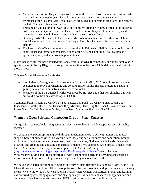- Memorial receptions: They are organized to honor the lives of those members and friends who have died during the past year. Several receptions have been catered this year with the assistance of the Pastoral Care Team. No fees are asked, but donations are gratefully accepted. Paulette Campbell chairs this function.
- Thinking of You column in *Quest*: Joys and concerns are to be communicated to the editor in order to appear in *Quest*. Judy Eisenhauer served as editor this year. If you have joys and concerns that you would like to appear in *Quest*, please contact Judy.
- Greeting cards: The Pastoral Care Team sends cards to members and friends who celebrate special events and to those who are ill or hospitalized. Sue Thomas is the coordinator of this activity.
- The Pastoral Care Team bulletin board is installed in Fellowship Hall. It includes obituaries of congregants and former congregants, a copy of the current Thinking of You column as it appears in *Quest*, and area workshop invitations.

Many thanks to all who have donated time and effort to the UUCR community during the past year. A special thanks to Narcy Klag who, through his connection to the Lions Club, delivered health aids to those in need.

This year's special events and activities:

- Rev. Rebekah Montgomery did a workshop for us on April 6, 2017. We did some hands-on exercises to improve our listening and communication skills. She also presented insight in getting in touch with ourselves and our own outlooks.
- Members of the PCT attended workshops given by Hospice and other UU churches this year, but we did not host any workshops at UUCR.

Team members: Jill Asman, Marilyn Briant, Paulette Campbell (Co-Chair), Sonali Desai, Judy Eisenhauer, Jewell Golden, Kent Hancock (Lay Minister), Jane Klag (Co-Chair), David Lorms, Fran Lowe, Susan McCall, Marianne Miller, Marie Reed, Marialyce Sherr, and Sue Thomas

#### **Women's Open Spiritual Connection Group**—*Sahar Dawisha*

Our goal is to connect by learning about ourselves and each other, while deepening our spirituality together.

We continue to explore spiritual growth through meditation, creative self-expression, and mutual support. Some of our activities this year included: fostering self-awareness and connection through exploration of color and shapes, movement, heart cards, nature, Goddess Oracle Cards, Zentangle drawing, and creating and updating our spiritual timelines. We examined two Spiritual Themes from the UUA's Church of the Larger Fellowship's (CLF) *Quest for Meaning* [\(https://www.questformeaning.org/spiritual-reflections/spiritual-themes/\)](https://www.questformeaning.org/spiritual-reflections/spiritual-themes/) which included Wholehearted Living and Freedom/Struggle, with a culminating activity of creating and sharing a vision board/collage to reflect upon our strengths and to guide our future path.

We have participated in community outings and service activities such as attending a New Year's Eve labyrinth walk at Cedar Lane UU as a group, followed by a get-together; and, preparing and delivering meals twice to the Wilkin's Avenue Women's Assessment Center. Our spiritual growth and learning has occurred by generating questions and sharing insights, which has enhanced our appreciation and enjoyment of each other as well as other UUCR spiritual activities, such as Emerson's Cafe.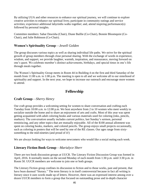By utilizing UUA and other resources to enhance our spiritual journey, we will continue to explore creative activities to enhance our spiritual lives; participate in community outings and service activities; experience additional labyrinths walks together; and, attend inspiring performance(s) followed by personal insights.

Committee members: Sahar Dawisha (Chair), Diane Baillie (Co-Chair), Bonnie Bloomquist (Co-Chair), and Julie Robinson (Co-Chair).

#### **Women's Spirituality Group**—*Jewell Golden*

The group discusses various topics as well as sharing individual life paths. We strive for the spiritual growth of group members through close personal sharing. With the exchange of words in experience, wisdom, and support, we provide laughter, warmth, inspiration, and reassurance, moving forward on one's quest. We celebrate member's distinct achievements, birthdays, and special times in one's life through meals together.

The Women's Spirituality Group meets in Room 44 in Building 4 on the first and third Saturday of the month from 11:00 a.m. to 1:00 p.m. The meeting is open to all and we welcome all to our sisterhood of spirituality and support. In the next year, we hope to increase our outreach and encourage more women to attend.

# **Fellowship**

#### **Craft Group**—*Sherry Henry*

Our craft group provides a welcoming setting for women to share conversation and crafting each Tuesday from 10:00 a.m. to 12:00 p.m. We host anywhere from 2 to 10 women who meet weekly to socialize outside the home and to share an enjoyment of arts and crafts. Most of this year was spent getting acquainted with adult coloring books and various materials used for coloring (inks, pencils, markers). The conversation usually includes current politics, last Sunday's sermon, personal reminiscing, and any other topics that are mutually enjoyable. All of the \$100 annual allotment was spent on coloring books, markers, and colored pencils. The group enjoys small projects occasionally, such as coloring in posters that will be used by one of the RE classes. Our ages range from sixtysomething to the mid-nineties (and proud of it!)

We are always looking for ways to welcome newcomers who would like a social outing each week.

#### **Literary Fiction Book Group**—*Marialyce Sherr*

There are two book discussion groups at UUCR. The Literary Fiction Discussion Group was formed in April, 2016. It normally meets on the second Monday of each month from 1:30 p.m. until 3:30 p.m. in Room 50. UUCR members are welcome to join one or both groups.

The Literary Fiction group confines its discussion to fiction and to those works, past and present, that have been deemed "literary." The term literary is in itself controversial because in fact all writing is literary since it uses words made up of letters. However, there was an expressed interest among over a dozen UUCR members to form a group that focused on outstanding prose and in-depth character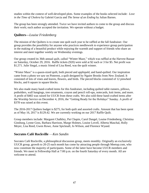studies within the context of well-developed plots. Some examples of the books selected include: *Love in the Time of Cholera* by Gabriel Garcia and *The Sense of an Ending* by Julian Barnes.

The group has been strongly attended. Twice we have invited authors to come to the group and discuss their work; each author accepted the invitation. We operate without a budget.

#### **Quilters—***Louise Friedenberg*

The mission of the Quilters is to create one quilt each year to be raffled at the fall fundraiser. Our group provides the possibility for anyone who practices needlework to experience group participation in the making of a beautiful product while enjoying the warmth and support of friends who share an interest and meet together weekly on Wednesday evenings.

Our group created its 36th annual quilt, called "Winter Maze," which was raffled at the Harvest Bazaar on Saturday, October 29, 2016. Raffle tickets (920) were sold at \$2 each or 3 for \$5. Net profit was \$1,571. Julie Siegal, a music friend of Lisa Reed, was the quilt winner.

"Winter Maze" is a queen-sized quilt, both pieced and appliquéd, and hand-quilted. Our inspiration came from a photo we saw on Pinterest, a quilt designed by Ngaire Brooks from New Zealand. It consisted of lots of vines and leaves, flowers, and birds. The pieced blocks consisted of 12 pinwheel blocks, and 6 square in square blocks.

We also made many hand-crafted items for this fundraiser, including quilted table runners, pillows, potholders, wall hangings, tree ornaments, crayon and pencil roll-ups, notecards, knit items, and more. A profit of \$465 was raised for UUCR from these crafts. We also sold these hand-crafted items after the Worship Service on December 4, 2016, the "Getting Ready for the Holidays" Sunday. A profit of \$378 was raised at this event.

The 2016-2017 Quilters budget is \$275, for both quilt and assorted crafts. Amount that has been spent as of May 16, 2017 is \$129.42. We are currently working on our 2017 Raffle Quilt.

Group members include: Margaret Chalkley, Pat Chapin, Carol Dangel, Louise Friedenberg, Christina Ginsburg, Lynne Goss, Barbara Harrison, Marge Holmes, Louise Lovell, Alberta Maschal, Holly Meyer, Lisa Reed, Gwen Rowe, Anne Spicknall, Jo Wilson, and Florence Wyand.

#### **Socrates Café Rockville** —*Ken Sandin*

Socrates Café Rockville, a philosophical discussion group, meets monthly. Originally an exclusively UUCR group, growth to 20-25 each month has come by attracting people through Meetup.com, who now constitute the majority of participants. Some of the latter have become UUCR members and friends. We meet in Fellowship Hall at 7:00 p.m. on the fourth Saturday of every month. All are welcome to attend.